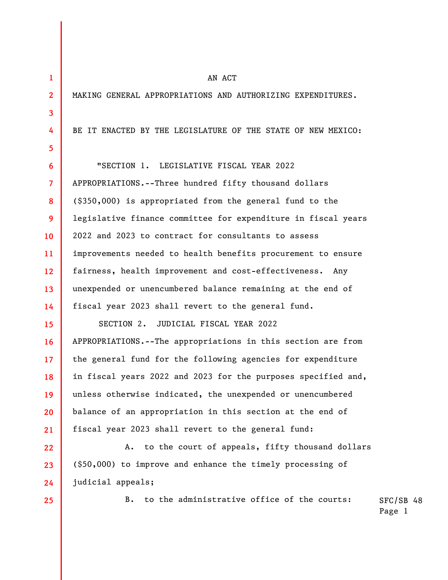**1** 

## AN ACT

**2 3 4 5 6 7 8 9 10 11 12 13 14 15 16 17 18 19 20 21 22 23**  MAKING GENERAL APPROPRIATIONS AND AUTHORIZING EXPENDITURES. BE IT ENACTED BY THE LEGISLATURE OF THE STATE OF NEW MEXICO: "SECTION 1. LEGISLATIVE FISCAL YEAR 2022 APPROPRIATIONS.--Three hundred fifty thousand dollars (\$350,000) is appropriated from the general fund to the legislative finance committee for expenditure in fiscal years 2022 and 2023 to contract for consultants to assess improvements needed to health benefits procurement to ensure fairness, health improvement and cost-effectiveness. Any unexpended or unencumbered balance remaining at the end of fiscal year 2023 shall revert to the general fund. SECTION 2. JUDICIAL FISCAL YEAR 2022 APPROPRIATIONS.--The appropriations in this section are from the general fund for the following agencies for expenditure in fiscal years 2022 and 2023 for the purposes specified and, unless otherwise indicated, the unexpended or unencumbered balance of an appropriation in this section at the end of fiscal year 2023 shall revert to the general fund: A. to the court of appeals, fifty thousand dollars (\$50,000) to improve and enhance the timely processing of

**25** 

**24** 

judicial appeals;

B. to the administrative office of the courts: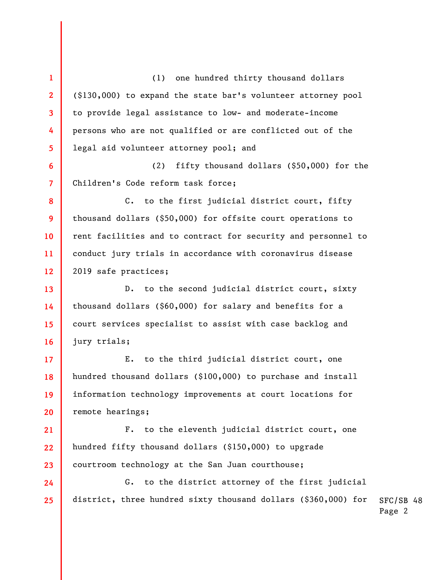**1 2 3 4 5 6 7 8 9 10 11 12 13 14 15 16 17 18 19 20 21 22 23 24 25**  (1) one hundred thirty thousand dollars (\$130,000) to expand the state bar's volunteer attorney pool to provide legal assistance to low- and moderate-income persons who are not qualified or are conflicted out of the legal aid volunteer attorney pool; and (2) fifty thousand dollars (\$50,000) for the Children's Code reform task force; C. to the first judicial district court, fifty thousand dollars (\$50,000) for offsite court operations to rent facilities and to contract for security and personnel to conduct jury trials in accordance with coronavirus disease 2019 safe practices; D. to the second judicial district court, sixty thousand dollars (\$60,000) for salary and benefits for a court services specialist to assist with case backlog and jury trials; E. to the third judicial district court, one hundred thousand dollars (\$100,000) to purchase and install information technology improvements at court locations for remote hearings; F. to the eleventh judicial district court, one hundred fifty thousand dollars (\$150,000) to upgrade courtroom technology at the San Juan courthouse; G. to the district attorney of the first judicial district, three hundred sixty thousand dollars (\$360,000) for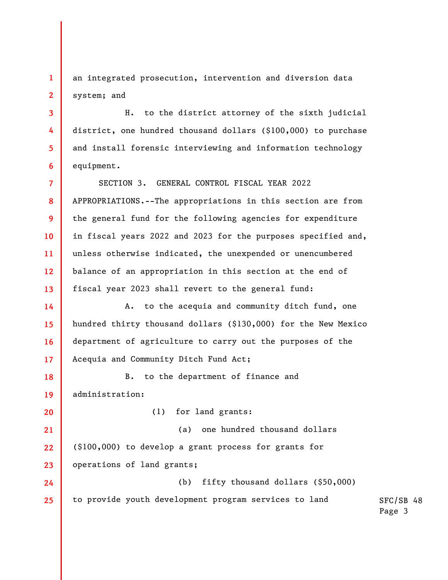**1 2**  an integrated prosecution, intervention and diversion data system; and

H. to the district attorney of the sixth judicial district, one hundred thousand dollars (\$100,000) to purchase and install forensic interviewing and information technology equipment.

**7 8 9 10 11 12 13**  SECTION 3. GENERAL CONTROL FISCAL YEAR 2022 APPROPRIATIONS.--The appropriations in this section are from the general fund for the following agencies for expenditure in fiscal years 2022 and 2023 for the purposes specified and, unless otherwise indicated, the unexpended or unencumbered balance of an appropriation in this section at the end of fiscal year 2023 shall revert to the general fund:

**14 15 16 17**  A. to the acequia and community ditch fund, one hundred thirty thousand dollars (\$130,000) for the New Mexico department of agriculture to carry out the purposes of the Acequia and Community Ditch Fund Act;

**18 19**  B. to the department of finance and administration:

**20** 

**3** 

**4** 

**5** 

**6** 

(1) for land grants:

**21 22 23**  (a) one hundred thousand dollars (\$100,000) to develop a grant process for grants for operations of land grants;

**24 25**  (b) fifty thousand dollars (\$50,000) to provide youth development program services to land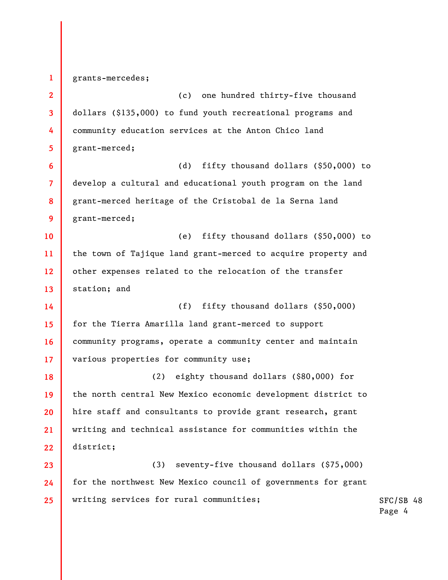**1 2 3 4 5 6 7 8 9 10 11 12 13 14 15 16 17 18 19 20 21 22 23 24 25**  grants-mercedes; (c) one hundred thirty-five thousand dollars (\$135,000) to fund youth recreational programs and community education services at the Anton Chico land grant-merced; (d) fifty thousand dollars (\$50,000) to develop a cultural and educational youth program on the land grant-merced heritage of the Cristobal de la Serna land grant-merced; (e) fifty thousand dollars (\$50,000) to the town of Tajique land grant-merced to acquire property and other expenses related to the relocation of the transfer station; and (f) fifty thousand dollars (\$50,000) for the Tierra Amarilla land grant-merced to support community programs, operate a community center and maintain various properties for community use; (2) eighty thousand dollars (\$80,000) for the north central New Mexico economic development district to hire staff and consultants to provide grant research, grant writing and technical assistance for communities within the district; (3) seventy-five thousand dollars (\$75,000) for the northwest New Mexico council of governments for grant writing services for rural communities;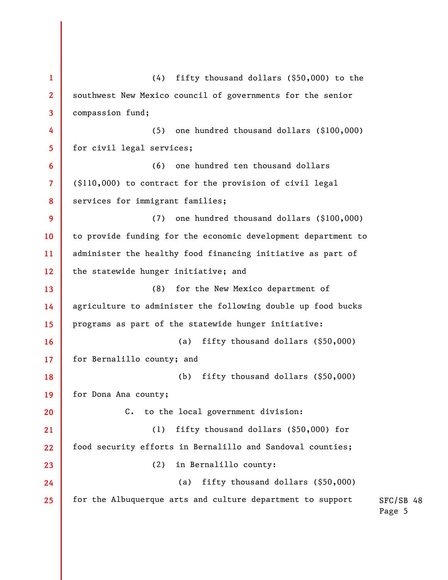SFC/SB 48 Page 5 **1 2 3 4 5 6 7 8 9 10 11 12 13 14 15 16 17 18 19 20 21 22 23 24 25**  (4) fifty thousand dollars (\$50,000) to the southwest New Mexico council of governments for the senior compassion fund; (5) one hundred thousand dollars (\$100,000) for civil legal services; (6) one hundred ten thousand dollars (\$110,000) to contract for the provision of civil legal services for immigrant families; (7) one hundred thousand dollars (\$100,000) to provide funding for the economic development department to administer the healthy food financing initiative as part of the statewide hunger initiative; and (8) for the New Mexico department of agriculture to administer the following double up food bucks programs as part of the statewide hunger initiative: (a) fifty thousand dollars (\$50,000) for Bernalillo county; and (b) fifty thousand dollars (\$50,000) for Dona Ana county; C. to the local government division: (1) fifty thousand dollars (\$50,000) for food security efforts in Bernalillo and Sandoval counties; (2) in Bernalillo county: (a) fifty thousand dollars (\$50,000) for the Albuquerque arts and culture department to support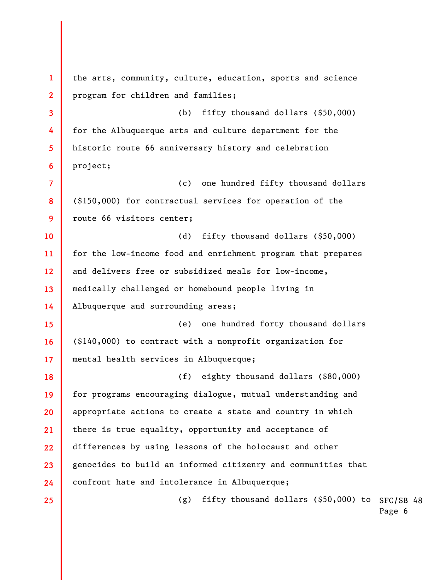| 1                       | the arts, community, culture, education, sports and science   |                     |
|-------------------------|---------------------------------------------------------------|---------------------|
| $\overline{2}$          | program for children and families;                            |                     |
| $\overline{\mathbf{3}}$ | fifty thousand dollars (\$50,000)<br>(b)                      |                     |
| 4                       | for the Albuquerque arts and culture department for the       |                     |
| 5                       | historic route 66 anniversary history and celebration         |                     |
| 6                       | project;                                                      |                     |
| $\overline{7}$          | one hundred fifty thousand dollars<br>(c)                     |                     |
| 8                       | $(\$150,000)$ for contractual services for operation of the   |                     |
| 9                       | route 66 visitors center;                                     |                     |
| 10                      | fifty thousand dollars (\$50,000)<br>(d)                      |                     |
| 11                      | for the low-income food and enrichment program that prepares  |                     |
| 12                      | and delivers free or subsidized meals for low-income,         |                     |
| 13                      | medically challenged or homebound people living in            |                     |
| 14                      | Albuquerque and surrounding areas;                            |                     |
| 15                      | one hundred forty thousand dollars<br>(e)                     |                     |
| 16                      | (\$140,000) to contract with a nonprofit organization for     |                     |
| 17                      | mental health services in Albuquerque;                        |                     |
| 18                      | (f) eighty thousand dollars (\$80,000)                        |                     |
| 19                      | for programs encouraging dialogue, mutual understanding and   |                     |
| 20                      | appropriate actions to create a state and country in which    |                     |
| 21                      | there is true equality, opportunity and acceptance of         |                     |
| 22                      | differences by using lessons of the holocaust and other       |                     |
| 23                      | genocides to build an informed citizenry and communities that |                     |
| 24                      | confront hate and intolerance in Albuquerque;                 |                     |
| 25                      | fifty thousand dollars (\$50,000) to<br>(g)                   | SFC/SB 48<br>Page 6 |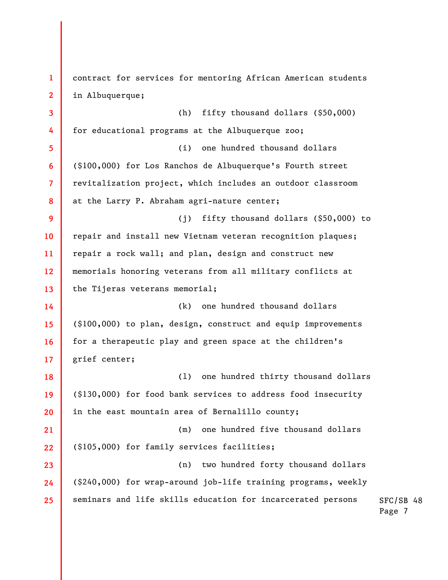SFC/SB 48 Page 7 **1 2 3 4 5 6 7 8 9 10 11 12 13 14 15 16 17 18 19 20 21 22 23 24 25**  contract for services for mentoring African American students in Albuquerque; (h) fifty thousand dollars (\$50,000) for educational programs at the Albuquerque zoo; (i) one hundred thousand dollars (\$100,000) for Los Ranchos de Albuquerque's Fourth street revitalization project, which includes an outdoor classroom at the Larry P. Abraham agri-nature center; (j) fifty thousand dollars (\$50,000) to repair and install new Vietnam veteran recognition plaques; repair a rock wall; and plan, design and construct new memorials honoring veterans from all military conflicts at the Tijeras veterans memorial; (k) one hundred thousand dollars (\$100,000) to plan, design, construct and equip improvements for a therapeutic play and green space at the children's grief center; (l) one hundred thirty thousand dollars (\$130,000) for food bank services to address food insecurity in the east mountain area of Bernalillo county; (m) one hundred five thousand dollars (\$105,000) for family services facilities; (n) two hundred forty thousand dollars (\$240,000) for wrap-around job-life training programs, weekly seminars and life skills education for incarcerated persons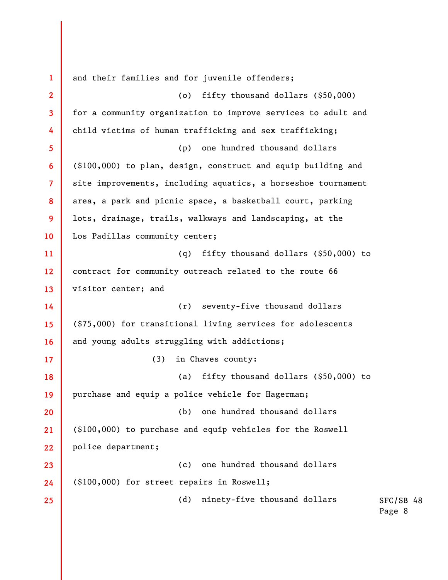SFC/SB 48 Page 8 **1 2 3 4 5 6 7 8 9 10 11 12 13 14 15 16 17 18 19 20 21 22 23 24 25**  and their families and for juvenile offenders; (o) fifty thousand dollars (\$50,000) for a community organization to improve services to adult and child victims of human trafficking and sex trafficking; (p) one hundred thousand dollars (\$100,000) to plan, design, construct and equip building and site improvements, including aquatics, a horseshoe tournament area, a park and picnic space, a basketball court, parking lots, drainage, trails, walkways and landscaping, at the Los Padillas community center; (q) fifty thousand dollars (\$50,000) to contract for community outreach related to the route 66 visitor center; and (r) seventy-five thousand dollars (\$75,000) for transitional living services for adolescents and young adults struggling with addictions; (3) in Chaves county: (a) fifty thousand dollars (\$50,000) to purchase and equip a police vehicle for Hagerman; (b) one hundred thousand dollars (\$100,000) to purchase and equip vehicles for the Roswell police department; (c) one hundred thousand dollars (\$100,000) for street repairs in Roswell; (d) ninety-five thousand dollars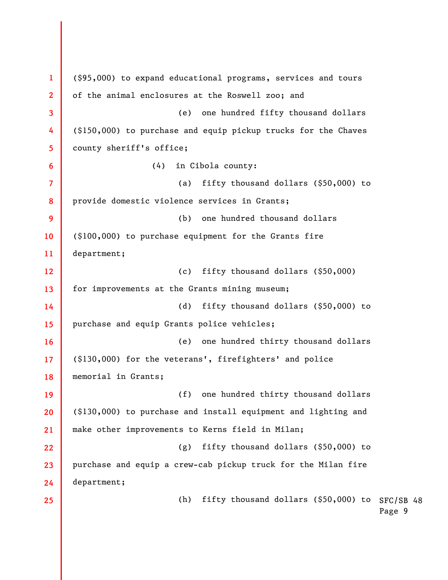(h) fifty thousand dollars (\$50,000) to SFC/SB 48 Page 9 **1 2 3 4 5 6 7 8 9 10 11 12 13 14 15 16 17 18 19 20 21 22 23 24 25**  (\$95,000) to expand educational programs, services and tours of the animal enclosures at the Roswell zoo; and (e) one hundred fifty thousand dollars (\$150,000) to purchase and equip pickup trucks for the Chaves county sheriff's office; (4) in Cibola county: (a) fifty thousand dollars (\$50,000) to provide domestic violence services in Grants; (b) one hundred thousand dollars (\$100,000) to purchase equipment for the Grants fire department; (c) fifty thousand dollars (\$50,000) for improvements at the Grants mining museum; (d) fifty thousand dollars (\$50,000) to purchase and equip Grants police vehicles; (e) one hundred thirty thousand dollars (\$130,000) for the veterans', firefighters' and police memorial in Grants; (f) one hundred thirty thousand dollars (\$130,000) to purchase and install equipment and lighting and make other improvements to Kerns field in Milan; (g) fifty thousand dollars (\$50,000) to purchase and equip a crew-cab pickup truck for the Milan fire department;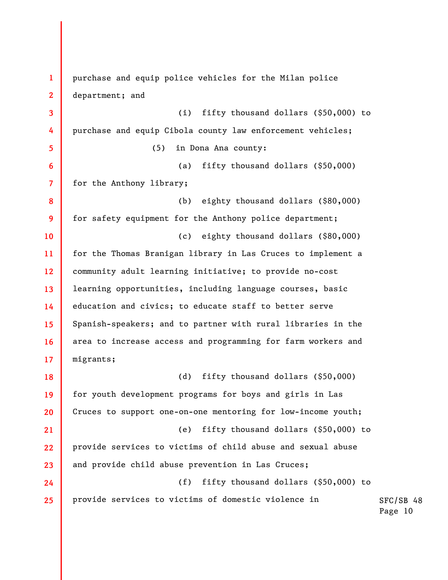| $\mathbf{1}$            | purchase and equip police vehicles for the Milan police      |                      |
|-------------------------|--------------------------------------------------------------|----------------------|
| $\mathbf{2}$            | department; and                                              |                      |
| $\overline{\mathbf{3}}$ | (i)<br>fifty thousand dollars (\$50,000) to                  |                      |
| 4                       | purchase and equip Cibola county law enforcement vehicles;   |                      |
| $\overline{\mathbf{5}}$ | in Dona Ana county:<br>(5)                                   |                      |
| 6                       | fifty thousand dollars $(\$50,000)$<br>(a)                   |                      |
| $\overline{7}$          | for the Anthony library;                                     |                      |
| 8                       | eighty thousand dollars (\$80,000)<br>(b)                    |                      |
| 9                       | for safety equipment for the Anthony police department;      |                      |
| 10                      | eighty thousand dollars (\$80,000)<br>(c)                    |                      |
| 11                      | for the Thomas Branigan library in Las Cruces to implement a |                      |
| 12                      | community adult learning initiative; to provide no-cost      |                      |
| 13                      | learning opportunities, including language courses, basic    |                      |
| 14                      | education and civics; to educate staff to better serve       |                      |
| 15                      | Spanish-speakers; and to partner with rural libraries in the |                      |
| 16                      | area to increase access and programming for farm workers and |                      |
| 17                      | migrants;                                                    |                      |
| 18                      | fifty thousand dollars (\$50,000)<br>(d)                     |                      |
| 19                      | for youth development programs for boys and girls in Las     |                      |
| 20                      | Cruces to support one-on-one mentoring for low-income youth; |                      |
| 21                      | fifty thousand dollars (\$50,000) to<br>(e)                  |                      |
| 22                      | provide services to victims of child abuse and sexual abuse  |                      |
| 23                      | and provide child abuse prevention in Las Cruces;            |                      |
| 24                      | fifty thousand dollars (\$50,000) to<br>(f)                  |                      |
| 25                      | provide services to victims of domestic violence in          | SFC/SB 48<br>Page 10 |

 $\mathcal{L}^{\mathcal{L}}$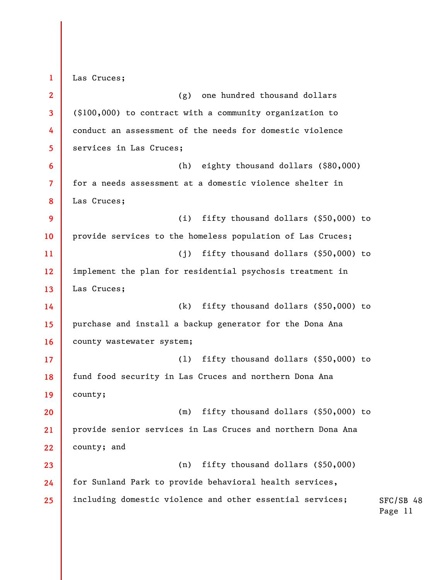SFC/SB 48 Page 11 **1 2 3 4 5 6 7 8 9 10 11 12 13 14 15 16 17 18 19 20 21 22 23 24 25**  Las Cruces; (g) one hundred thousand dollars (\$100,000) to contract with a community organization to conduct an assessment of the needs for domestic violence services in Las Cruces; (h) eighty thousand dollars (\$80,000) for a needs assessment at a domestic violence shelter in Las Cruces; (i) fifty thousand dollars (\$50,000) to provide services to the homeless population of Las Cruces; (j) fifty thousand dollars (\$50,000) to implement the plan for residential psychosis treatment in Las Cruces; (k) fifty thousand dollars (\$50,000) to purchase and install a backup generator for the Dona Ana county wastewater system; (l) fifty thousand dollars (\$50,000) to fund food security in Las Cruces and northern Dona Ana county; (m) fifty thousand dollars (\$50,000) to provide senior services in Las Cruces and northern Dona Ana county; and (n) fifty thousand dollars (\$50,000) for Sunland Park to provide behavioral health services, including domestic violence and other essential services;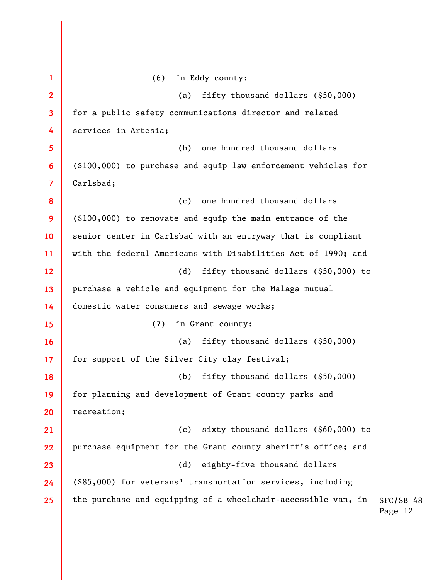| 1                 | (6)<br>in Eddy county:                                                                |
|-------------------|---------------------------------------------------------------------------------------|
| $\overline{2}$    | fifty thousand dollars (\$50,000)<br>(a)                                              |
| 3                 | for a public safety communications director and related                               |
| 4                 | services in Artesia;                                                                  |
| 5                 | one hundred thousand dollars<br>(b)                                                   |
| 6                 | (\$100,000) to purchase and equip law enforcement vehicles for                        |
| 7                 | Carlsbad;                                                                             |
| 8                 | one hundred thousand dollars<br>(c)                                                   |
| 9                 | $(\$100,000)$ to renovate and equip the main entrance of the                          |
| 10                | senior center in Carlsbad with an entryway that is compliant                          |
| 11                | with the federal Americans with Disabilities Act of 1990; and                         |
| $12 \overline{ }$ | fifty thousand dollars (\$50,000) to<br>(d)                                           |
| 13                | purchase a vehicle and equipment for the Malaga mutual                                |
| 14                | domestic water consumers and sewage works;                                            |
| 15                | (7)<br>in Grant county:                                                               |
| <b>16</b>         | (a) fifty thousand dollars (\$50,000)                                                 |
| 17                | for support of the Silver City clay festival;                                         |
| 18                | fifty thousand dollars (\$50,000)<br>(b)                                              |
| 19                | for planning and development of Grant county parks and                                |
| 20                | recreation;                                                                           |
| 21                | sixty thousand dollars (\$60,000) to<br>(c)                                           |
| 22                | purchase equipment for the Grant county sheriff's office; and                         |
| 23                | eighty-five thousand dollars<br>(d)                                                   |
| 24                | (\$85,000) for veterans' transportation services, including                           |
| 25                | the purchase and equipping of a wheelchair-accessible van, in<br>SFC/SB 48<br>Page 12 |
|                   |                                                                                       |
|                   |                                                                                       |
|                   |                                                                                       |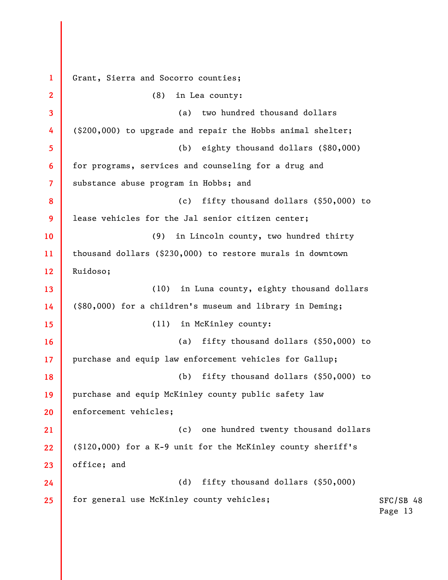SFC/SB 48 Page 13 **1 2 3 4 5 6 7 8 9 10 11 12 13 14 15 16 17 18 19 20 21 22 23 24 25**  Grant, Sierra and Socorro counties; (8) in Lea county: (a) two hundred thousand dollars (\$200,000) to upgrade and repair the Hobbs animal shelter; (b) eighty thousand dollars (\$80,000) for programs, services and counseling for a drug and substance abuse program in Hobbs; and (c) fifty thousand dollars (\$50,000) to lease vehicles for the Jal senior citizen center; (9) in Lincoln county, two hundred thirty thousand dollars (\$230,000) to restore murals in downtown Ruidoso; (10) in Luna county, eighty thousand dollars (\$80,000) for a children's museum and library in Deming; (11) in McKinley county: (a) fifty thousand dollars (\$50,000) to purchase and equip law enforcement vehicles for Gallup; (b) fifty thousand dollars (\$50,000) to purchase and equip McKinley county public safety law enforcement vehicles; (c) one hundred twenty thousand dollars (\$120,000) for a K-9 unit for the McKinley county sheriff's office; and (d) fifty thousand dollars (\$50,000) for general use McKinley county vehicles;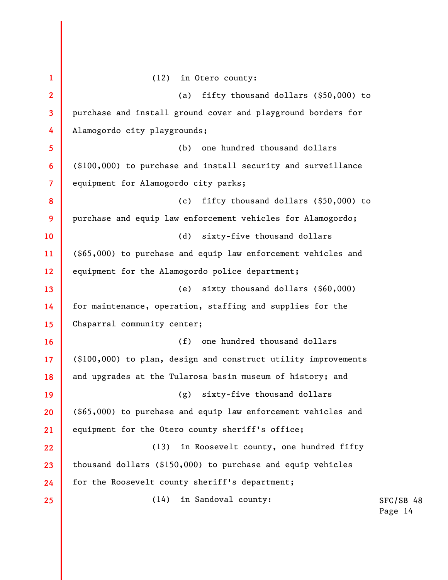| $\mathbf{1}$ | in Otero county:<br>(12)                                       |                      |
|--------------|----------------------------------------------------------------|----------------------|
| $\mathbf{2}$ | fifty thousand dollars (\$50,000) to<br>(a)                    |                      |
| 3            | purchase and install ground cover and playground borders for   |                      |
| 4            | Alamogordo city playgrounds;                                   |                      |
| 5            | one hundred thousand dollars<br>(b)                            |                      |
| 6            | (\$100,000) to purchase and install security and surveillance  |                      |
| 7            | equipment for Alamogordo city parks;                           |                      |
| 8            | fifty thousand dollars (\$50,000) to<br>(c)                    |                      |
| 9            | purchase and equip law enforcement vehicles for Alamogordo;    |                      |
| 10           | sixty-five thousand dollars<br>(d)                             |                      |
| 11           | (\$65,000) to purchase and equip law enforcement vehicles and  |                      |
| 12           | equipment for the Alamogordo police department;                |                      |
| 13           | sixty thousand dollars (\$60,000)<br>(e)                       |                      |
| 14           | for maintenance, operation, staffing and supplies for the      |                      |
| 15           | Chaparral community center;                                    |                      |
| 16           | one hundred thousand dollars<br>(f)                            |                      |
| 17           | (\$100,000) to plan, design and construct utility improvements |                      |
| 18           | and upgrades at the Tularosa basin museum of history; and      |                      |
| 19           | (g)<br>sixty-five thousand dollars                             |                      |
| 20           | (\$65,000) to purchase and equip law enforcement vehicles and  |                      |
| 21           | equipment for the Otero county sheriff's office;               |                      |
| 22           | in Roosevelt county, one hundred fifty<br>(13)                 |                      |
| 23           | thousand dollars (\$150,000) to purchase and equip vehicles    |                      |
| 24           | for the Roosevelt county sheriff's department;                 |                      |
| 25           | in Sandoval county:<br>(14)                                    | SFC/SB 48<br>Page 14 |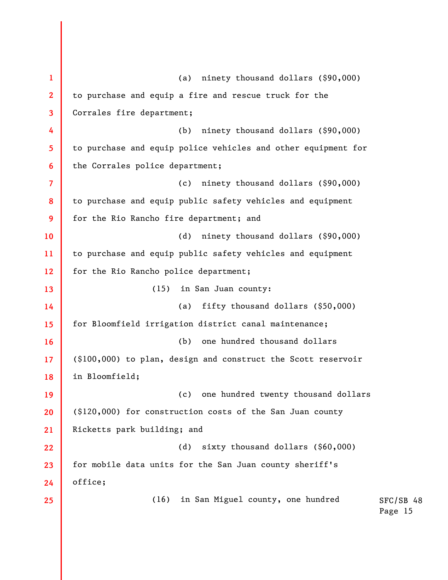| $\mathbf{1}$      | ninety thousand dollars (\$90,000)<br>(a)                     |                      |
|-------------------|---------------------------------------------------------------|----------------------|
| $\mathbf{2}$      | to purchase and equip a fire and rescue truck for the         |                      |
| $\mathbf{3}$      | Corrales fire department;                                     |                      |
| 4                 | ninety thousand dollars (\$90,000)<br>(b)                     |                      |
| 5                 | to purchase and equip police vehicles and other equipment for |                      |
| 6                 | the Corrales police department;                               |                      |
| $\overline{7}$    | ninety thousand dollars (\$90,000)<br>(c)                     |                      |
| 8                 | to purchase and equip public safety vehicles and equipment    |                      |
| 9                 | for the Rio Rancho fire department; and                       |                      |
| 10                | ninety thousand dollars (\$90,000)<br>(d)                     |                      |
| 11                | to purchase and equip public safety vehicles and equipment    |                      |
| $12 \overline{ }$ | for the Rio Rancho police department;                         |                      |
| 13                | in San Juan county:<br>(15)                                   |                      |
| 14                | fifty thousand dollars (\$50,000)<br>(a)                      |                      |
| 15                | for Bloomfield irrigation district canal maintenance;         |                      |
| 16                | one hundred thousand dollars<br>(b)                           |                      |
| 17 <sup>2</sup>   | (\$100,000) to plan, design and construct the Scott reservoir |                      |
| 18                | in Bloomfield;                                                |                      |
| 19                | one hundred twenty thousand dollars<br>(c)                    |                      |
| 20                | (\$120,000) for construction costs of the San Juan county     |                      |
| 21                | Ricketts park building; and                                   |                      |
| 22                | sixty thousand dollars (\$60,000)<br>(d)                      |                      |
| 23                | for mobile data units for the San Juan county sheriff's       |                      |
| 24                | office;                                                       |                      |
| 25                | (16)<br>in San Miguel county, one hundred                     | SFC/SB 48<br>Page 15 |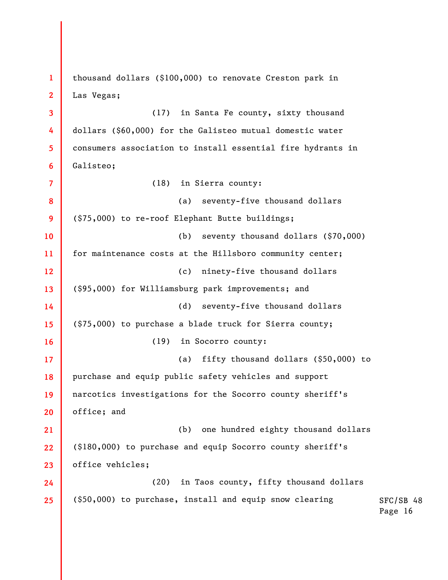| $\mathbf{1}$   | thousand dollars (\$100,000) to renovate Creston park in    |                      |
|----------------|-------------------------------------------------------------|----------------------|
| $\mathbf{2}$   | Las Vegas;                                                  |                      |
| 3              | (17)<br>in Santa Fe county, sixty thousand                  |                      |
| 4              | dollars (\$60,000) for the Galisteo mutual domestic water   |                      |
| 5              | consumers association to install essential fire hydrants in |                      |
| 6              | Galisteo;                                                   |                      |
| $\overline{7}$ | (18)<br>in Sierra county:                                   |                      |
| 8              | seventy-five thousand dollars<br>(a)                        |                      |
| 9              | (\$75,000) to re-roof Elephant Butte buildings;             |                      |
| 10             | (b)<br>seventy thousand dollars (\$70,000)                  |                      |
| 11             | for maintenance costs at the Hillsboro community center;    |                      |
| 12             | ninety-five thousand dollars<br>(c)                         |                      |
| 13             | (\$95,000) for Williamsburg park improvements; and          |                      |
| 14             | (d)<br>seventy-five thousand dollars                        |                      |
| 15             | (\$75,000) to purchase a blade truck for Sierra county;     |                      |
| 16             | in Socorro county:<br>(19)                                  |                      |
| 17             | fifty thousand dollars (\$50,000) to<br>(a)                 |                      |
| 18             | purchase and equip public safety vehicles and support       |                      |
| 19             | narcotics investigations for the Socorro county sheriff's   |                      |
| 20             | office; and                                                 |                      |
| 21             | one hundred eighty thousand dollars<br>(b)                  |                      |
| 22             | (\$180,000) to purchase and equip Socorro county sheriff's  |                      |
| 23             | office vehicles;                                            |                      |
| 24             | in Taos county, fifty thousand dollars<br>(20)              |                      |
| 25             | (\$50,000) to purchase, install and equip snow clearing     | SFC/SB 48<br>Page 16 |
|                |                                                             |                      |
|                |                                                             |                      |
|                |                                                             |                      |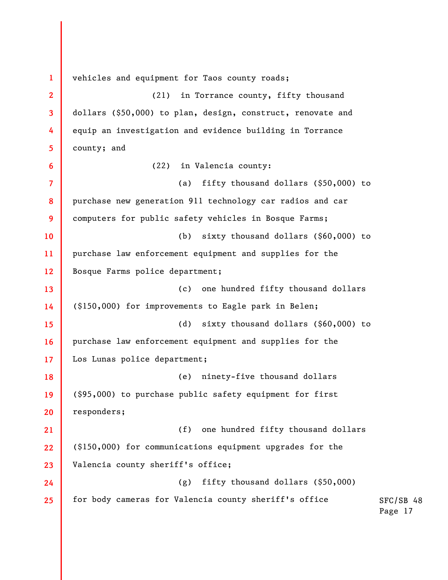SFC/SB 48 Page 17 **1 2 3 4 5 6 7 8 9 10 11 12 13 14 15 16 17 18 19 20 21 22 23 24 25**  vehicles and equipment for Taos county roads; (21) in Torrance county, fifty thousand dollars (\$50,000) to plan, design, construct, renovate and equip an investigation and evidence building in Torrance county; and (22) in Valencia county: (a) fifty thousand dollars (\$50,000) to purchase new generation 911 technology car radios and car computers for public safety vehicles in Bosque Farms; (b) sixty thousand dollars (\$60,000) to purchase law enforcement equipment and supplies for the Bosque Farms police department; (c) one hundred fifty thousand dollars (\$150,000) for improvements to Eagle park in Belen; (d) sixty thousand dollars (\$60,000) to purchase law enforcement equipment and supplies for the Los Lunas police department; (e) ninety-five thousand dollars (\$95,000) to purchase public safety equipment for first responders; (f) one hundred fifty thousand dollars (\$150,000) for communications equipment upgrades for the Valencia county sheriff's office; (g) fifty thousand dollars (\$50,000) for body cameras for Valencia county sheriff's office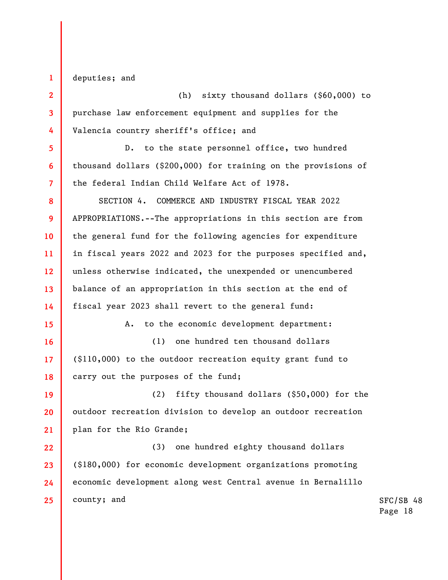deputies; and

**1** 

**2** 

**3** 

**4** 

**5** 

**6** 

**7** 

**15** 

**16** 

**17** 

**18** 

(h) sixty thousand dollars (\$60,000) to purchase law enforcement equipment and supplies for the Valencia country sheriff's office; and

D. to the state personnel office, two hundred thousand dollars (\$200,000) for training on the provisions of the federal Indian Child Welfare Act of 1978.

**8 9 10 11 12 13 14**  SECTION 4. COMMERCE AND INDUSTRY FISCAL YEAR 2022 APPROPRIATIONS.--The appropriations in this section are from the general fund for the following agencies for expenditure in fiscal years 2022 and 2023 for the purposes specified and, unless otherwise indicated, the unexpended or unencumbered balance of an appropriation in this section at the end of fiscal year 2023 shall revert to the general fund:

A. to the economic development department: (1) one hundred ten thousand dollars (\$110,000) to the outdoor recreation equity grant fund to

carry out the purposes of the fund;

**19 20 21**  (2) fifty thousand dollars (\$50,000) for the outdoor recreation division to develop an outdoor recreation plan for the Rio Grande;

**22 23 24 25**  (3) one hundred eighty thousand dollars (\$180,000) for economic development organizations promoting economic development along west Central avenue in Bernalillo county; and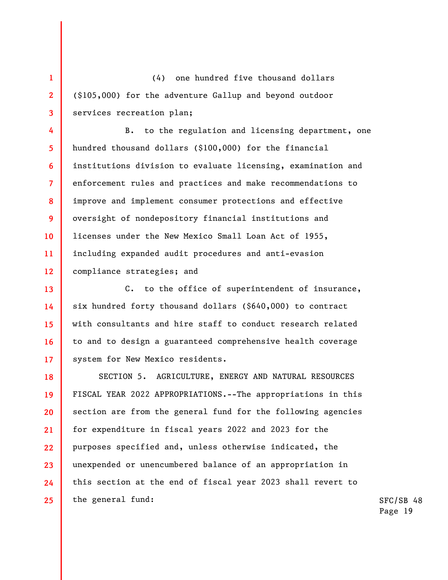(4) one hundred five thousand dollars (\$105,000) for the adventure Gallup and beyond outdoor services recreation plan;

**1** 

**2** 

**3** 

**4** 

**5** 

**6** 

**7** 

**8** 

**9** 

**10** 

**11** 

**12** 

**14** 

**15** 

**16** 

**17** 

B. to the regulation and licensing department, one hundred thousand dollars (\$100,000) for the financial institutions division to evaluate licensing, examination and enforcement rules and practices and make recommendations to improve and implement consumer protections and effective oversight of nondepository financial institutions and licenses under the New Mexico Small Loan Act of 1955, including expanded audit procedures and anti-evasion compliance strategies; and

**13**  C. to the office of superintendent of insurance, six hundred forty thousand dollars (\$640,000) to contract with consultants and hire staff to conduct research related to and to design a guaranteed comprehensive health coverage system for New Mexico residents.

**18 19 20 21 22 23 24 25**  SECTION 5. AGRICULTURE, ENERGY AND NATURAL RESOURCES FISCAL YEAR 2022 APPROPRIATIONS.--The appropriations in this section are from the general fund for the following agencies for expenditure in fiscal years 2022 and 2023 for the purposes specified and, unless otherwise indicated, the unexpended or unencumbered balance of an appropriation in this section at the end of fiscal year 2023 shall revert to the general fund: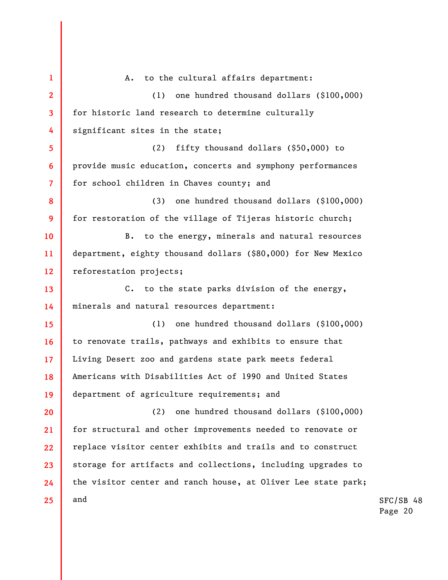SFC/SB 48 Page 20 **1 2 3 4 5 6 7 8 9 10 11 12 13 14 15 16 17 18 19 20 21 22 23 24 25**  A. to the cultural affairs department: (1) one hundred thousand dollars (\$100,000) for historic land research to determine culturally significant sites in the state; (2) fifty thousand dollars (\$50,000) to provide music education, concerts and symphony performances for school children in Chaves county; and (3) one hundred thousand dollars (\$100,000) for restoration of the village of Tijeras historic church; B. to the energy, minerals and natural resources department, eighty thousand dollars (\$80,000) for New Mexico reforestation projects; C. to the state parks division of the energy, minerals and natural resources department: (1) one hundred thousand dollars (\$100,000) to renovate trails, pathways and exhibits to ensure that Living Desert zoo and gardens state park meets federal Americans with Disabilities Act of 1990 and United States department of agriculture requirements; and (2) one hundred thousand dollars (\$100,000) for structural and other improvements needed to renovate or replace visitor center exhibits and trails and to construct storage for artifacts and collections, including upgrades to the visitor center and ranch house, at Oliver Lee state park; and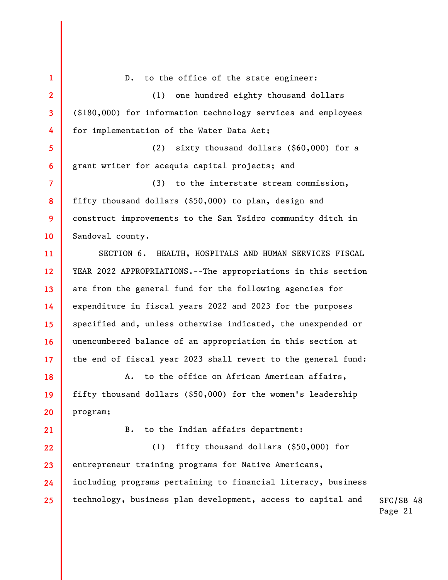SFC/SB 48 Page 21 **1 2 3 4 5 6 7 8 9 10 11 12 13 14 15 16 17 18 19 20 21 22 23 24 25**  D. to the office of the state engineer: (1) one hundred eighty thousand dollars (\$180,000) for information technology services and employees for implementation of the Water Data Act; (2) sixty thousand dollars (\$60,000) for a grant writer for acequia capital projects; and (3) to the interstate stream commission, fifty thousand dollars (\$50,000) to plan, design and construct improvements to the San Ysidro community ditch in Sandoval county. SECTION 6. HEALTH, HOSPITALS AND HUMAN SERVICES FISCAL YEAR 2022 APPROPRIATIONS.--The appropriations in this section are from the general fund for the following agencies for expenditure in fiscal years 2022 and 2023 for the purposes specified and, unless otherwise indicated, the unexpended or unencumbered balance of an appropriation in this section at the end of fiscal year 2023 shall revert to the general fund: A. to the office on African American affairs, fifty thousand dollars (\$50,000) for the women's leadership program; B. to the Indian affairs department: (1) fifty thousand dollars (\$50,000) for entrepreneur training programs for Native Americans, including programs pertaining to financial literacy, business technology, business plan development, access to capital and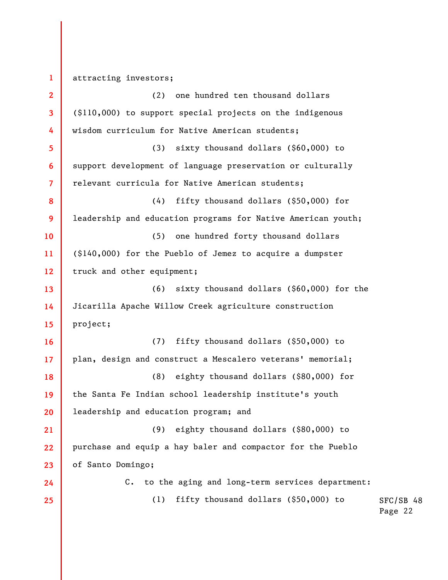**1**  attracting investors;

**2 3 4 5 6 7 8 9 10 11 12 13 14 15 16 17 18 19 20 21 22 23 24 25**  (2) one hundred ten thousand dollars (\$110,000) to support special projects on the indigenous wisdom curriculum for Native American students; (3) sixty thousand dollars (\$60,000) to support development of language preservation or culturally relevant curricula for Native American students; (4) fifty thousand dollars (\$50,000) for leadership and education programs for Native American youth; (5) one hundred forty thousand dollars (\$140,000) for the Pueblo of Jemez to acquire a dumpster truck and other equipment; (6) sixty thousand dollars (\$60,000) for the Jicarilla Apache Willow Creek agriculture construction project; (7) fifty thousand dollars (\$50,000) to plan, design and construct a Mescalero veterans' memorial; (8) eighty thousand dollars (\$80,000) for the Santa Fe Indian school leadership institute's youth leadership and education program; and (9) eighty thousand dollars (\$80,000) to purchase and equip a hay baler and compactor for the Pueblo of Santo Domingo; C. to the aging and long-term services department: (1) fifty thousand dollars (\$50,000) to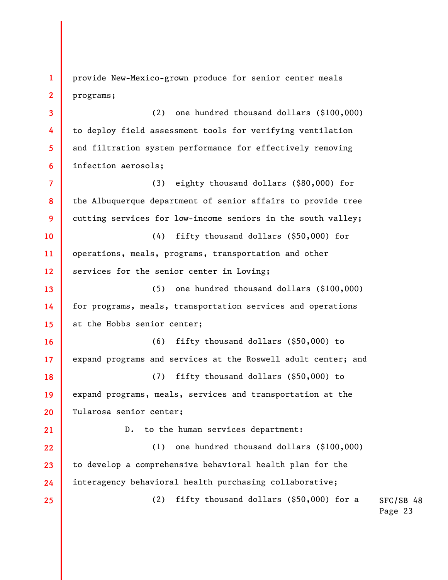**1 2**  provide New-Mexico-grown produce for senior center meals programs;

**3 4 5 6**  (2) one hundred thousand dollars (\$100,000) to deploy field assessment tools for verifying ventilation and filtration system performance for effectively removing infection aerosols;

**7 8 9**  (3) eighty thousand dollars (\$80,000) for the Albuquerque department of senior affairs to provide tree cutting services for low-income seniors in the south valley;

**10 11 12**  (4) fifty thousand dollars (\$50,000) for operations, meals, programs, transportation and other services for the senior center in Loving;

**13 14 15**  (5) one hundred thousand dollars (\$100,000) for programs, meals, transportation services and operations at the Hobbs senior center;

**16 17**  (6) fifty thousand dollars (\$50,000) to expand programs and services at the Roswell adult center; and

**18 19 20**  (7) fifty thousand dollars (\$50,000) to expand programs, meals, services and transportation at the Tularosa senior center;

**21** 

**25** 

D. to the human services department:

**22 23 24**  (1) one hundred thousand dollars (\$100,000) to develop a comprehensive behavioral health plan for the interagency behavioral health purchasing collaborative;

(2) fifty thousand dollars (\$50,000) for a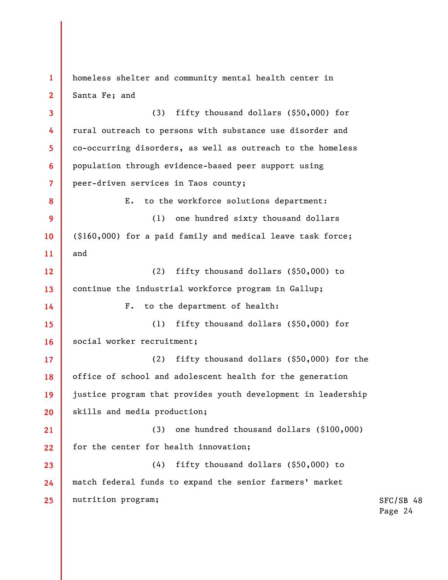**1 2 3 4 5 6 7 8 9 10 11 12 13 14 15 16 17 18 19 20 21 22 23 24 25**  homeless shelter and community mental health center in Santa Fe; and (3) fifty thousand dollars (\$50,000) for rural outreach to persons with substance use disorder and co-occurring disorders, as well as outreach to the homeless population through evidence-based peer support using peer-driven services in Taos county; E. to the workforce solutions department: (1) one hundred sixty thousand dollars (\$160,000) for a paid family and medical leave task force; and (2) fifty thousand dollars (\$50,000) to continue the industrial workforce program in Gallup; F. to the department of health: (1) fifty thousand dollars (\$50,000) for social worker recruitment; (2) fifty thousand dollars (\$50,000) for the office of school and adolescent health for the generation justice program that provides youth development in leadership skills and media production; (3) one hundred thousand dollars (\$100,000) for the center for health innovation; (4) fifty thousand dollars (\$50,000) to match federal funds to expand the senior farmers' market nutrition program;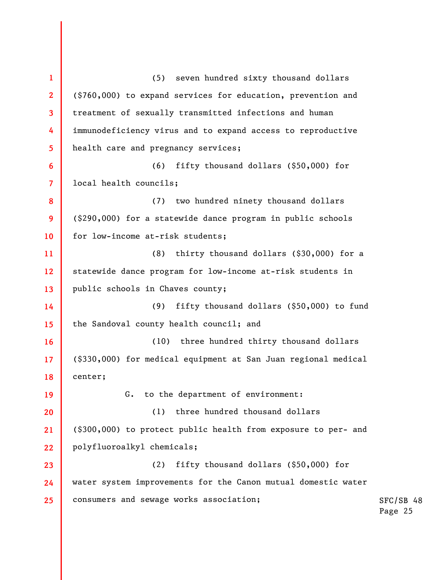SFC/SB 48 Page 25 **1 2 3 4 5 6 7 8 9 10 11 12 13 14 15 16 17 18 19 20 21 22 23 24 25**  (5) seven hundred sixty thousand dollars (\$760,000) to expand services for education, prevention and treatment of sexually transmitted infections and human immunodeficiency virus and to expand access to reproductive health care and pregnancy services; (6) fifty thousand dollars (\$50,000) for local health councils; (7) two hundred ninety thousand dollars (\$290,000) for a statewide dance program in public schools for low-income at-risk students; (8) thirty thousand dollars (\$30,000) for a statewide dance program for low-income at-risk students in public schools in Chaves county; (9) fifty thousand dollars (\$50,000) to fund the Sandoval county health council; and (10) three hundred thirty thousand dollars (\$330,000) for medical equipment at San Juan regional medical center; G. to the department of environment: (1) three hundred thousand dollars (\$300,000) to protect public health from exposure to per- and polyfluoroalkyl chemicals; (2) fifty thousand dollars (\$50,000) for water system improvements for the Canon mutual domestic water consumers and sewage works association;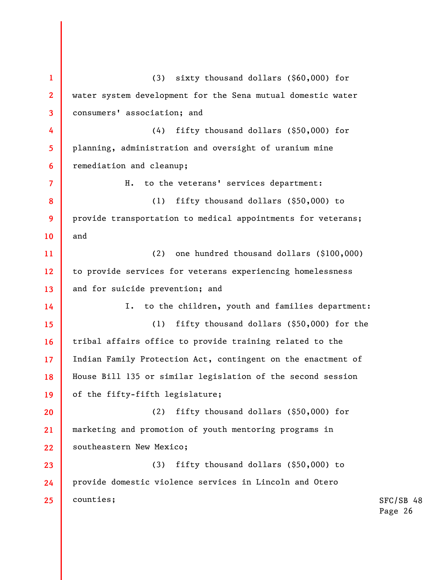SFC/SB 48 Page 26 **1 2 3 4 5 6 7 8 9 10 11 12 13 14 15 16 17 18 19 20 21 22 23 24 25**  (3) sixty thousand dollars (\$60,000) for water system development for the Sena mutual domestic water consumers' association; and (4) fifty thousand dollars (\$50,000) for planning, administration and oversight of uranium mine remediation and cleanup; H. to the veterans' services department: (1) fifty thousand dollars (\$50,000) to provide transportation to medical appointments for veterans; and (2) one hundred thousand dollars (\$100,000) to provide services for veterans experiencing homelessness and for suicide prevention; and I. to the children, youth and families department: (1) fifty thousand dollars (\$50,000) for the tribal affairs office to provide training related to the Indian Family Protection Act, contingent on the enactment of House Bill 135 or similar legislation of the second session of the fifty-fifth legislature; (2) fifty thousand dollars (\$50,000) for marketing and promotion of youth mentoring programs in southeastern New Mexico; (3) fifty thousand dollars (\$50,000) to provide domestic violence services in Lincoln and Otero counties;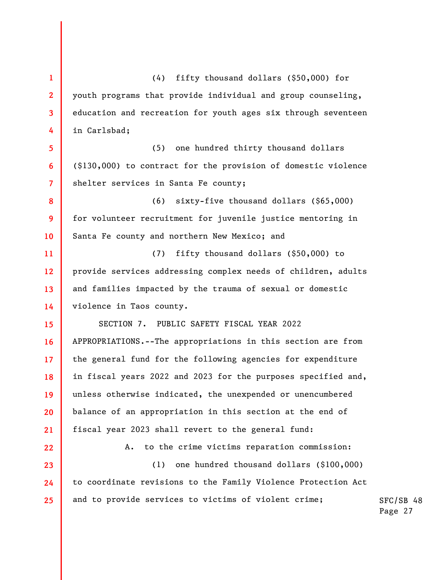**1 2 3 4 5 6 7 8 9 10 11 12 13 14 15 16 17 18 19 20 21 22 23 24 25**  (4) fifty thousand dollars (\$50,000) for youth programs that provide individual and group counseling, education and recreation for youth ages six through seventeen in Carlsbad; (5) one hundred thirty thousand dollars (\$130,000) to contract for the provision of domestic violence shelter services in Santa Fe county; (6) sixty-five thousand dollars (\$65,000) for volunteer recruitment for juvenile justice mentoring in Santa Fe county and northern New Mexico; and (7) fifty thousand dollars (\$50,000) to provide services addressing complex needs of children, adults and families impacted by the trauma of sexual or domestic violence in Taos county. SECTION 7. PUBLIC SAFETY FISCAL YEAR 2022 APPROPRIATIONS.--The appropriations in this section are from the general fund for the following agencies for expenditure in fiscal years 2022 and 2023 for the purposes specified and, unless otherwise indicated, the unexpended or unencumbered balance of an appropriation in this section at the end of fiscal year 2023 shall revert to the general fund: A. to the crime victims reparation commission: (1) one hundred thousand dollars (\$100,000) to coordinate revisions to the Family Violence Protection Act and to provide services to victims of violent crime;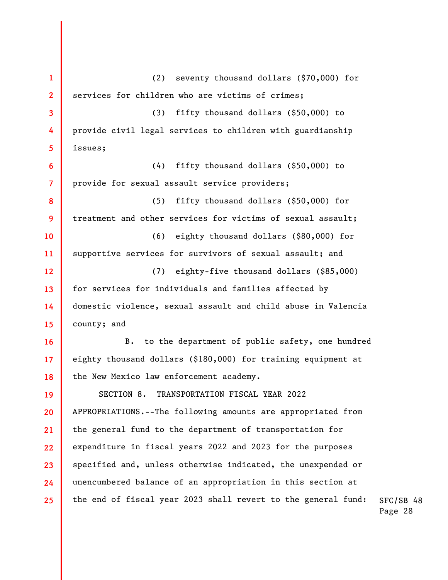**1 2 3 4 5 6 7 8 9 10 11 12 13 14 15 16 17 18 19 20 21 22 23 24 25**  (2) seventy thousand dollars (\$70,000) for services for children who are victims of crimes; (3) fifty thousand dollars (\$50,000) to provide civil legal services to children with guardianship issues; (4) fifty thousand dollars (\$50,000) to provide for sexual assault service providers; (5) fifty thousand dollars (\$50,000) for treatment and other services for victims of sexual assault; (6) eighty thousand dollars (\$80,000) for supportive services for survivors of sexual assault; and (7) eighty-five thousand dollars (\$85,000) for services for individuals and families affected by domestic violence, sexual assault and child abuse in Valencia county; and B. to the department of public safety, one hundred eighty thousand dollars (\$180,000) for training equipment at the New Mexico law enforcement academy. SECTION 8. TRANSPORTATION FISCAL YEAR 2022 APPROPRIATIONS.--The following amounts are appropriated from the general fund to the department of transportation for expenditure in fiscal years 2022 and 2023 for the purposes specified and, unless otherwise indicated, the unexpended or unencumbered balance of an appropriation in this section at the end of fiscal year 2023 shall revert to the general fund: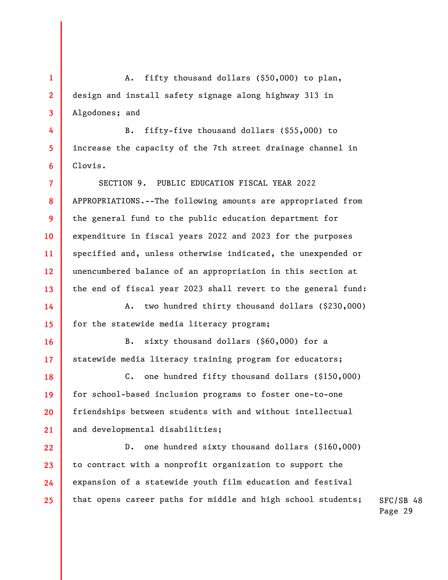**1 2 3**  A. fifty thousand dollars (\$50,000) to plan, design and install safety signage along highway 313 in Algodones; and

B. fifty-five thousand dollars (\$55,000) to increase the capacity of the 7th street drainage channel in Clovis.

**7 8 9 10 11 12 13**  SECTION 9. PUBLIC EDUCATION FISCAL YEAR 2022 APPROPRIATIONS.--The following amounts are appropriated from the general fund to the public education department for expenditure in fiscal years 2022 and 2023 for the purposes specified and, unless otherwise indicated, the unexpended or unencumbered balance of an appropriation in this section at the end of fiscal year 2023 shall revert to the general fund:

**14 15**  A. two hundred thirty thousand dollars (\$230,000) for the statewide media literacy program;

**16** 

**17** 

**4** 

**5** 

**6** 

B. sixty thousand dollars (\$60,000) for a statewide media literacy training program for educators;

**18 19 20 21**  C. one hundred fifty thousand dollars (\$150,000) for school-based inclusion programs to foster one-to-one friendships between students with and without intellectual and developmental disabilities;

**22 23 24 25**  D. one hundred sixty thousand dollars (\$160,000) to contract with a nonprofit organization to support the expansion of a statewide youth film education and festival that opens career paths for middle and high school students;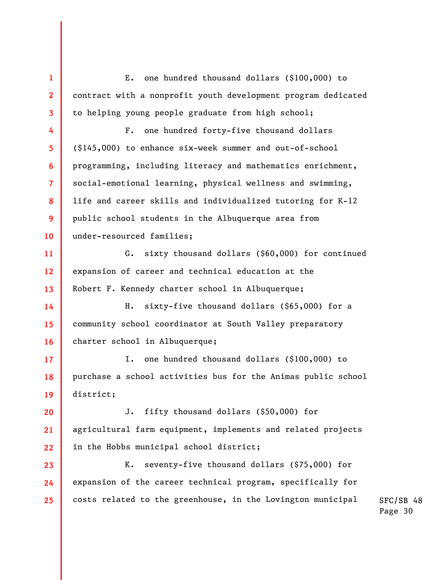**1 2 3 4 5 6 7 8 9 10 11 12 13 14 15 16 17 18 19 20 21 22 23 24 25**  E. one hundred thousand dollars (\$100,000) to contract with a nonprofit youth development program dedicated to helping young people graduate from high school; F. one hundred forty-five thousand dollars (\$145,000) to enhance six-week summer and out-of-school programming, including literacy and mathematics enrichment, social-emotional learning, physical wellness and swimming, life and career skills and individualized tutoring for K-12 public school students in the Albuquerque area from under-resourced families; G. sixty thousand dollars (\$60,000) for continued expansion of career and technical education at the Robert F. Kennedy charter school in Albuquerque; H. sixty-five thousand dollars (\$65,000) for a community school coordinator at South Valley preparatory charter school in Albuquerque; I. one hundred thousand dollars (\$100,000) to purchase a school activities bus for the Animas public school district; J. fifty thousand dollars (\$50,000) for agricultural farm equipment, implements and related projects in the Hobbs municipal school district; K. seventy-five thousand dollars (\$75,000) for expansion of the career technical program, specifically for costs related to the greenhouse, in the Lovington municipal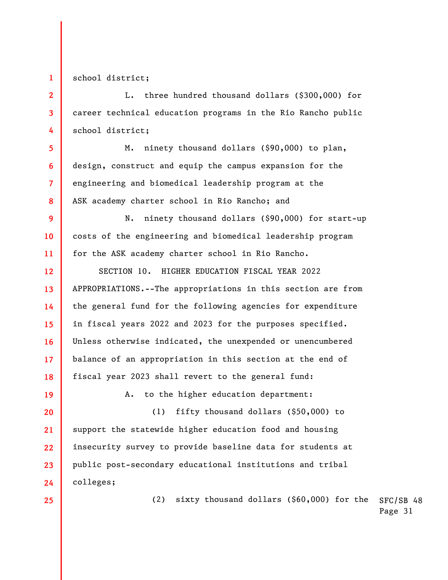school district;

**1** 

**2** 

**3** 

**4** 

**5** 

**6** 

**7** 

**8** 

L. three hundred thousand dollars (\$300,000) for career technical education programs in the Rio Rancho public school district;

M. ninety thousand dollars (\$90,000) to plan, design, construct and equip the campus expansion for the engineering and biomedical leadership program at the ASK academy charter school in Rio Rancho; and

**9 10 11**  N. ninety thousand dollars (\$90,000) for start-up costs of the engineering and biomedical leadership program for the ASK academy charter school in Rio Rancho.

**12 13 14 15 16 17 18**  SECTION 10. HIGHER EDUCATION FISCAL YEAR 2022 APPROPRIATIONS.--The appropriations in this section are from the general fund for the following agencies for expenditure in fiscal years 2022 and 2023 for the purposes specified. Unless otherwise indicated, the unexpended or unencumbered balance of an appropriation in this section at the end of fiscal year 2023 shall revert to the general fund:

A. to the higher education department:

**20 21 22 23 24**  (1) fifty thousand dollars (\$50,000) to support the statewide higher education food and housing insecurity survey to provide baseline data for students at public post-secondary educational institutions and tribal colleges;

**25** 

**19** 

SFC/SB 48 (2) sixty thousand dollars (\$60,000) for the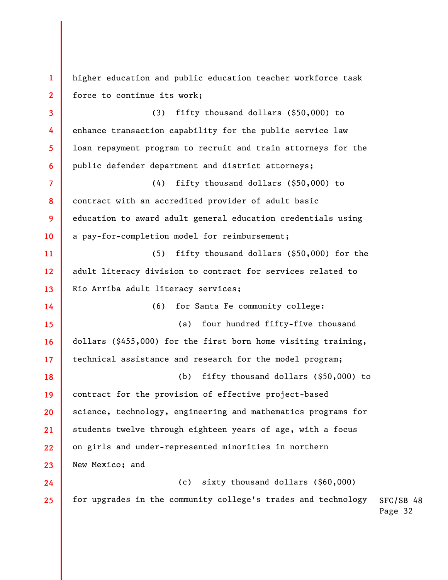SFC/SB 48 Page 32 **1 2 3 4 5 6 7 8 9 10 11 12 13 14 15 16 17 18 19 20 21 22 23 24 25**  higher education and public education teacher workforce task force to continue its work; (3) fifty thousand dollars (\$50,000) to enhance transaction capability for the public service law loan repayment program to recruit and train attorneys for the public defender department and district attorneys; (4) fifty thousand dollars (\$50,000) to contract with an accredited provider of adult basic education to award adult general education credentials using a pay-for-completion model for reimbursement; (5) fifty thousand dollars (\$50,000) for the adult literacy division to contract for services related to Rio Arriba adult literacy services; (6) for Santa Fe community college: (a) four hundred fifty-five thousand dollars (\$455,000) for the first born home visiting training, technical assistance and research for the model program; (b) fifty thousand dollars (\$50,000) to contract for the provision of effective project-based science, technology, engineering and mathematics programs for students twelve through eighteen years of age, with a focus on girls and under-represented minorities in northern New Mexico; and (c) sixty thousand dollars (\$60,000) for upgrades in the community college's trades and technology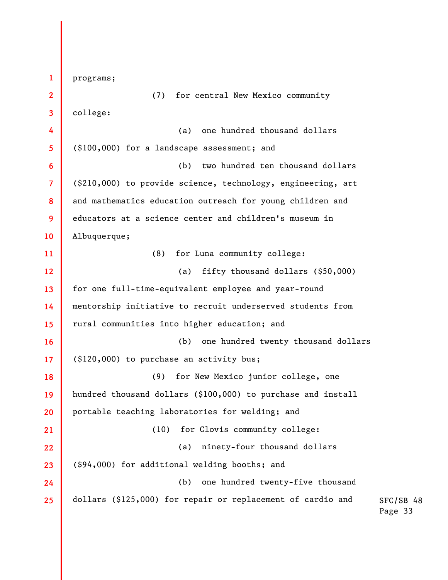SFC/SB 48 Page 33 **1 2 3 4 5 6 7 8 9 10 11 12 13 14 15 16 17 18 19 20 21 22 23 24 25**  programs; (7) for central New Mexico community college: (a) one hundred thousand dollars (\$100,000) for a landscape assessment; and (b) two hundred ten thousand dollars (\$210,000) to provide science, technology, engineering, art and mathematics education outreach for young children and educators at a science center and children's museum in Albuquerque; (8) for Luna community college: (a) fifty thousand dollars (\$50,000) for one full-time-equivalent employee and year-round mentorship initiative to recruit underserved students from rural communities into higher education; and (b) one hundred twenty thousand dollars (\$120,000) to purchase an activity bus; (9) for New Mexico junior college, one hundred thousand dollars (\$100,000) to purchase and install portable teaching laboratories for welding; and (10) for Clovis community college: (a) ninety-four thousand dollars (\$94,000) for additional welding booths; and (b) one hundred twenty-five thousand dollars (\$125,000) for repair or replacement of cardio and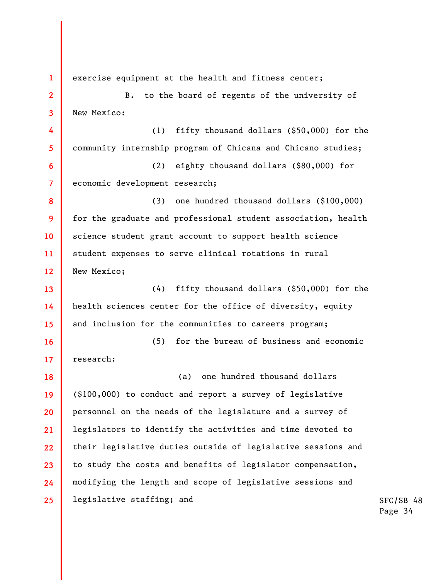**1 2 3 4 5 6 7 8 9 10 11 12 13 14 15 16 17 18 19 20 21 22 23 24 25**  exercise equipment at the health and fitness center; B. to the board of regents of the university of New Mexico: (1) fifty thousand dollars (\$50,000) for the community internship program of Chicana and Chicano studies; (2) eighty thousand dollars (\$80,000) for economic development research; (3) one hundred thousand dollars (\$100,000) for the graduate and professional student association, health science student grant account to support health science student expenses to serve clinical rotations in rural New Mexico; (4) fifty thousand dollars (\$50,000) for the health sciences center for the office of diversity, equity and inclusion for the communities to careers program; (5) for the bureau of business and economic research: (a) one hundred thousand dollars (\$100,000) to conduct and report a survey of legislative personnel on the needs of the legislature and a survey of legislators to identify the activities and time devoted to their legislative duties outside of legislative sessions and to study the costs and benefits of legislator compensation, modifying the length and scope of legislative sessions and legislative staffing; and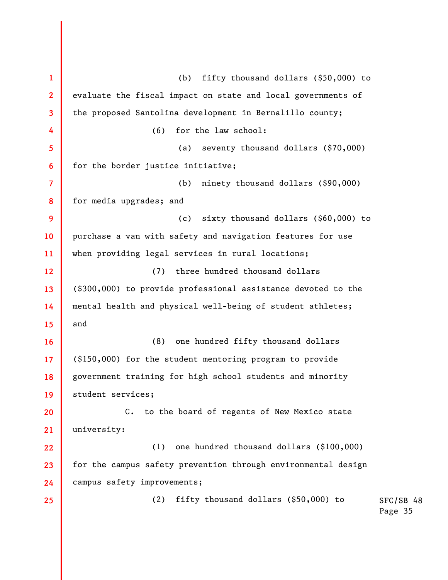SFC/SB 48 Page 35 **1 2 3 4 5 6 7 8 9 10 11 12 13 14 15 16 17 18 19 20 21 22 23 24 25**  (b) fifty thousand dollars (\$50,000) to evaluate the fiscal impact on state and local governments of the proposed Santolina development in Bernalillo county; (6) for the law school: (a) seventy thousand dollars (\$70,000) for the border justice initiative; (b) ninety thousand dollars (\$90,000) for media upgrades; and (c) sixty thousand dollars (\$60,000) to purchase a van with safety and navigation features for use when providing legal services in rural locations; (7) three hundred thousand dollars (\$300,000) to provide professional assistance devoted to the mental health and physical well-being of student athletes; and (8) one hundred fifty thousand dollars (\$150,000) for the student mentoring program to provide government training for high school students and minority student services; C. to the board of regents of New Mexico state university: (1) one hundred thousand dollars (\$100,000) for the campus safety prevention through environmental design campus safety improvements; (2) fifty thousand dollars (\$50,000) to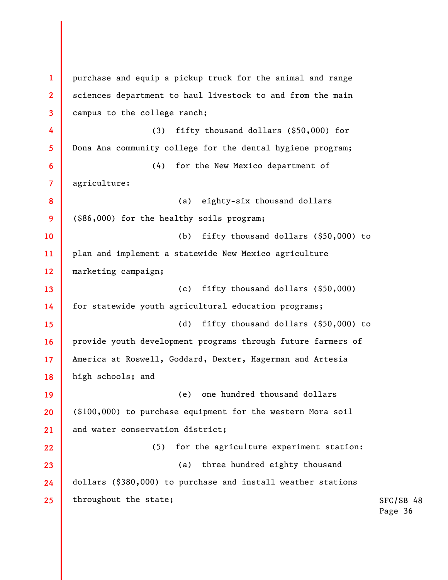SFC/SB 48 Page 36 **1 2 3 4 5 6 7 8 9 10 11 12 13 14 15 16 17 18 19 20 21 22 23 24 25**  purchase and equip a pickup truck for the animal and range sciences department to haul livestock to and from the main campus to the college ranch; (3) fifty thousand dollars (\$50,000) for Dona Ana community college for the dental hygiene program; (4) for the New Mexico department of agriculture: (a) eighty-six thousand dollars (\$86,000) for the healthy soils program; (b) fifty thousand dollars (\$50,000) to plan and implement a statewide New Mexico agriculture marketing campaign; (c) fifty thousand dollars (\$50,000) for statewide youth agricultural education programs; (d) fifty thousand dollars (\$50,000) to provide youth development programs through future farmers of America at Roswell, Goddard, Dexter, Hagerman and Artesia high schools; and (e) one hundred thousand dollars (\$100,000) to purchase equipment for the western Mora soil and water conservation district; (5) for the agriculture experiment station: (a) three hundred eighty thousand dollars (\$380,000) to purchase and install weather stations throughout the state;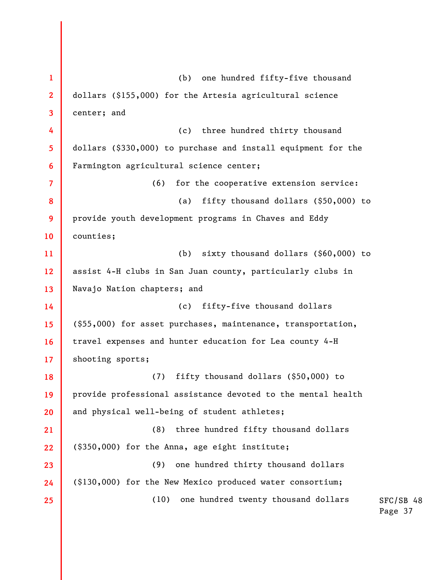SFC/SB 48 Page 37 **1 2 3 4 5 6 7 8 9 10 11 12 13 14 15 16 17 18 19 20 21 22 23 24 25**  (b) one hundred fifty-five thousand dollars (\$155,000) for the Artesia agricultural science center; and (c) three hundred thirty thousand dollars (\$330,000) to purchase and install equipment for the Farmington agricultural science center; (6) for the cooperative extension service: (a) fifty thousand dollars (\$50,000) to provide youth development programs in Chaves and Eddy counties; (b) sixty thousand dollars (\$60,000) to assist 4-H clubs in San Juan county, particularly clubs in Navajo Nation chapters; and (c) fifty-five thousand dollars (\$55,000) for asset purchases, maintenance, transportation, travel expenses and hunter education for Lea county 4-H shooting sports; (7) fifty thousand dollars (\$50,000) to provide professional assistance devoted to the mental health and physical well-being of student athletes; (8) three hundred fifty thousand dollars (\$350,000) for the Anna, age eight institute; (9) one hundred thirty thousand dollars (\$130,000) for the New Mexico produced water consortium; (10) one hundred twenty thousand dollars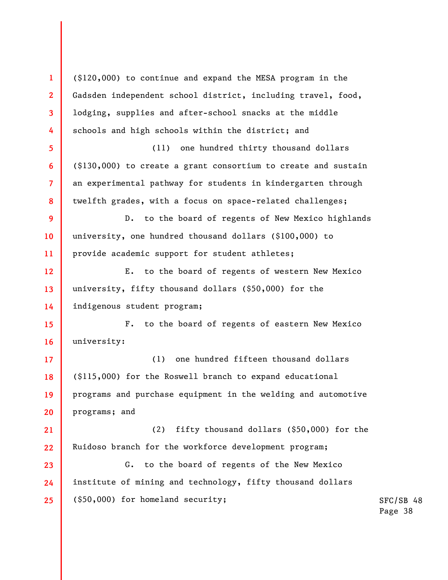**1 2 3 4 5 6 7 8 9 10 11 12 13 14 15 16 17 18 19 20 21 22 23 24 25**  (\$120,000) to continue and expand the MESA program in the Gadsden independent school district, including travel, food, lodging, supplies and after-school snacks at the middle schools and high schools within the district; and (11) one hundred thirty thousand dollars (\$130,000) to create a grant consortium to create and sustain an experimental pathway for students in kindergarten through twelfth grades, with a focus on space-related challenges; D. to the board of regents of New Mexico highlands university, one hundred thousand dollars (\$100,000) to provide academic support for student athletes; E. to the board of regents of western New Mexico university, fifty thousand dollars (\$50,000) for the indigenous student program; F. to the board of regents of eastern New Mexico university: (1) one hundred fifteen thousand dollars (\$115,000) for the Roswell branch to expand educational programs and purchase equipment in the welding and automotive programs; and (2) fifty thousand dollars (\$50,000) for the Ruidoso branch for the workforce development program; G. to the board of regents of the New Mexico institute of mining and technology, fifty thousand dollars (\$50,000) for homeland security;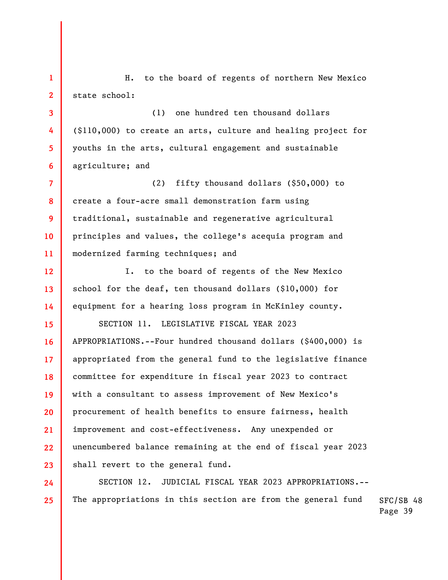**1 2**  H. to the board of regents of northern New Mexico state school:

**3** 

**4** 

**5** 

**6** 

**24** 

**25** 

(1) one hundred ten thousand dollars (\$110,000) to create an arts, culture and healing project for youths in the arts, cultural engagement and sustainable agriculture; and

**7 8 9 10 11**  (2) fifty thousand dollars (\$50,000) to create a four-acre small demonstration farm using traditional, sustainable and regenerative agricultural principles and values, the college's acequia program and modernized farming techniques; and

**12 13 14**  I. to the board of regents of the New Mexico school for the deaf, ten thousand dollars (\$10,000) for equipment for a hearing loss program in McKinley county.

**15 16 17 18 19 20 21 22 23**  SECTION 11. LEGISLATIVE FISCAL YEAR 2023 APPROPRIATIONS.--Four hundred thousand dollars (\$400,000) is appropriated from the general fund to the legislative finance committee for expenditure in fiscal year 2023 to contract with a consultant to assess improvement of New Mexico's procurement of health benefits to ensure fairness, health improvement and cost-effectiveness. Any unexpended or unencumbered balance remaining at the end of fiscal year 2023 shall revert to the general fund.

SECTION 12. JUDICIAL FISCAL YEAR 2023 APPROPRIATIONS.-- The appropriations in this section are from the general fund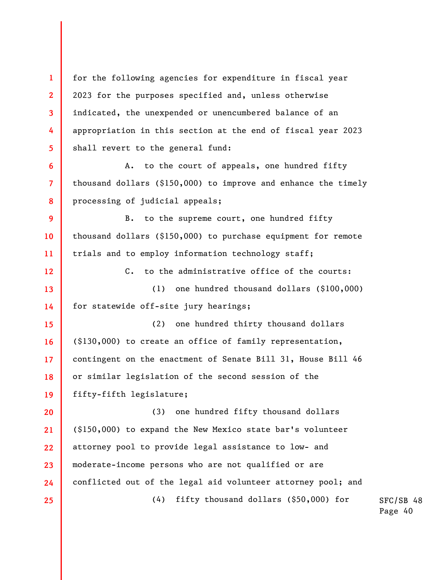**1 2 3 4 5**  for the following agencies for expenditure in fiscal year 2023 for the purposes specified and, unless otherwise indicated, the unexpended or unencumbered balance of an appropriation in this section at the end of fiscal year 2023 shall revert to the general fund:

A. to the court of appeals, one hundred fifty thousand dollars (\$150,000) to improve and enhance the timely processing of judicial appeals;

**6** 

**7** 

**8** 

**12** 

**13** 

**14** 

**25** 

**9 10 11**  B. to the supreme court, one hundred fifty thousand dollars (\$150,000) to purchase equipment for remote trials and to employ information technology staff;

C. to the administrative office of the courts: (1) one hundred thousand dollars (\$100,000) for statewide off-site jury hearings;

**15 16 17 18 19**  (2) one hundred thirty thousand dollars (\$130,000) to create an office of family representation, contingent on the enactment of Senate Bill 31, House Bill 46 or similar legislation of the second session of the fifty-fifth legislature;

**20 21 22 23 24**  (3) one hundred fifty thousand dollars (\$150,000) to expand the New Mexico state bar's volunteer attorney pool to provide legal assistance to low- and moderate-income persons who are not qualified or are conflicted out of the legal aid volunteer attorney pool; and

(4) fifty thousand dollars (\$50,000) for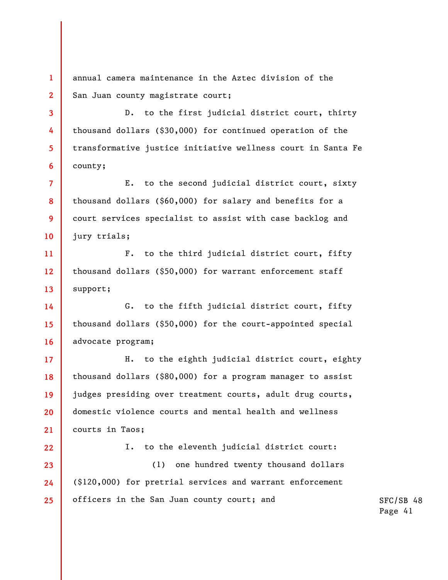**1 2**  annual camera maintenance in the Aztec division of the San Juan county magistrate court;

**3** 

**4** 

**5** 

**6** 

**22** 

D. to the first judicial district court, thirty thousand dollars (\$30,000) for continued operation of the transformative justice initiative wellness court in Santa Fe county;

**7 8 9 10**  E. to the second judicial district court, sixty thousand dollars (\$60,000) for salary and benefits for a court services specialist to assist with case backlog and jury trials;

**11 12 13**  F. to the third judicial district court, fifty thousand dollars (\$50,000) for warrant enforcement staff support;

**14 15 16**  G. to the fifth judicial district court, fifty thousand dollars (\$50,000) for the court-appointed special advocate program;

**17 18 19 20 21**  H. to the eighth judicial district court, eighty thousand dollars (\$80,000) for a program manager to assist judges presiding over treatment courts, adult drug courts, domestic violence courts and mental health and wellness courts in Taos;

I. to the eleventh judicial district court:

**23 24 25**  (1) one hundred twenty thousand dollars (\$120,000) for pretrial services and warrant enforcement officers in the San Juan county court; and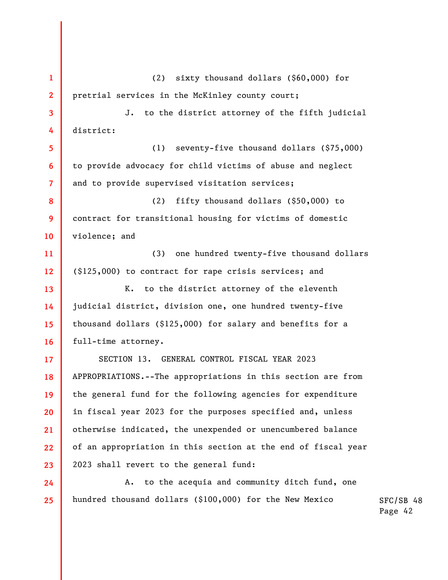**1 2 3 4 5 6 7 8 9 10 11 12 13 14 15 16 17 18 19 20 21 22 23 24 25**  (2) sixty thousand dollars (\$60,000) for pretrial services in the McKinley county court; J. to the district attorney of the fifth judicial district: (1) seventy-five thousand dollars (\$75,000) to provide advocacy for child victims of abuse and neglect and to provide supervised visitation services; (2) fifty thousand dollars (\$50,000) to contract for transitional housing for victims of domestic violence; and (3) one hundred twenty-five thousand dollars (\$125,000) to contract for rape crisis services; and K. to the district attorney of the eleventh judicial district, division one, one hundred twenty-five thousand dollars (\$125,000) for salary and benefits for a full-time attorney. SECTION 13. GENERAL CONTROL FISCAL YEAR 2023 APPROPRIATIONS.--The appropriations in this section are from the general fund for the following agencies for expenditure in fiscal year 2023 for the purposes specified and, unless otherwise indicated, the unexpended or unencumbered balance of an appropriation in this section at the end of fiscal year 2023 shall revert to the general fund: A. to the acequia and community ditch fund, one hundred thousand dollars (\$100,000) for the New Mexico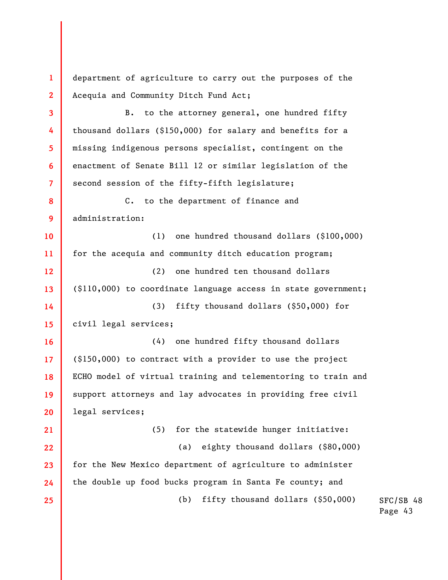**1 2 3 4 5 6 7 8 9 10 11 12 13 14 15 16 17 18 19 20 21 22 23 24 25**  department of agriculture to carry out the purposes of the Acequia and Community Ditch Fund Act; B. to the attorney general, one hundred fifty thousand dollars (\$150,000) for salary and benefits for a missing indigenous persons specialist, contingent on the enactment of Senate Bill 12 or similar legislation of the second session of the fifty-fifth legislature; C. to the department of finance and administration: (1) one hundred thousand dollars (\$100,000) for the acequia and community ditch education program; (2) one hundred ten thousand dollars (\$110,000) to coordinate language access in state government; (3) fifty thousand dollars (\$50,000) for civil legal services; (4) one hundred fifty thousand dollars (\$150,000) to contract with a provider to use the project ECHO model of virtual training and telementoring to train and support attorneys and lay advocates in providing free civil legal services; (5) for the statewide hunger initiative: (a) eighty thousand dollars (\$80,000) for the New Mexico department of agriculture to administer the double up food bucks program in Santa Fe county; and (b) fifty thousand dollars (\$50,000)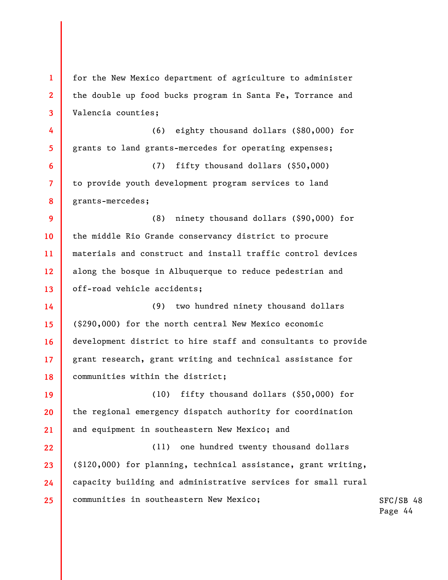**1 2 3 4 5 6 7 8 9 10 11 12 13 14 15 16 17 18 19 20 21 22 23 24 25**  for the New Mexico department of agriculture to administer the double up food bucks program in Santa Fe, Torrance and Valencia counties; (6) eighty thousand dollars (\$80,000) for grants to land grants-mercedes for operating expenses; (7) fifty thousand dollars (\$50,000) to provide youth development program services to land grants-mercedes; (8) ninety thousand dollars (\$90,000) for the middle Rio Grande conservancy district to procure materials and construct and install traffic control devices along the bosque in Albuquerque to reduce pedestrian and off-road vehicle accidents; (9) two hundred ninety thousand dollars (\$290,000) for the north central New Mexico economic development district to hire staff and consultants to provide grant research, grant writing and technical assistance for communities within the district; (10) fifty thousand dollars (\$50,000) for the regional emergency dispatch authority for coordination and equipment in southeastern New Mexico; and (11) one hundred twenty thousand dollars (\$120,000) for planning, technical assistance, grant writing, capacity building and administrative services for small rural communities in southeastern New Mexico;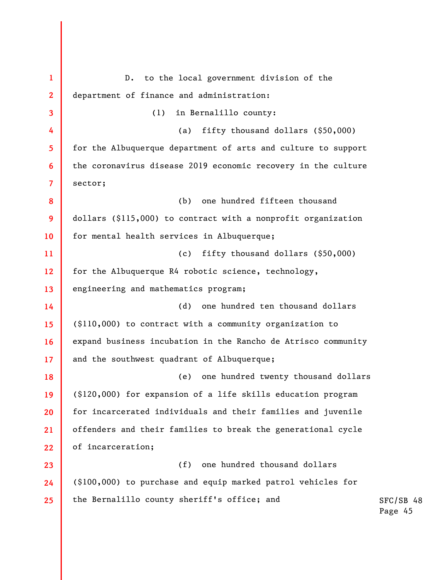**1 2 3 4 5 6 7 8 9 10 11 12 13 14 15 16 17 18 19 20 21 22 23 24 25**  D. to the local government division of the department of finance and administration: (1) in Bernalillo county: (a) fifty thousand dollars (\$50,000) for the Albuquerque department of arts and culture to support the coronavirus disease 2019 economic recovery in the culture sector; (b) one hundred fifteen thousand dollars (\$115,000) to contract with a nonprofit organization for mental health services in Albuquerque; (c) fifty thousand dollars (\$50,000) for the Albuquerque R4 robotic science, technology, engineering and mathematics program; (d) one hundred ten thousand dollars (\$110,000) to contract with a community organization to expand business incubation in the Rancho de Atrisco community and the southwest quadrant of Albuquerque; (e) one hundred twenty thousand dollars (\$120,000) for expansion of a life skills education program for incarcerated individuals and their families and juvenile offenders and their families to break the generational cycle of incarceration; (f) one hundred thousand dollars (\$100,000) to purchase and equip marked patrol vehicles for the Bernalillo county sheriff's office; and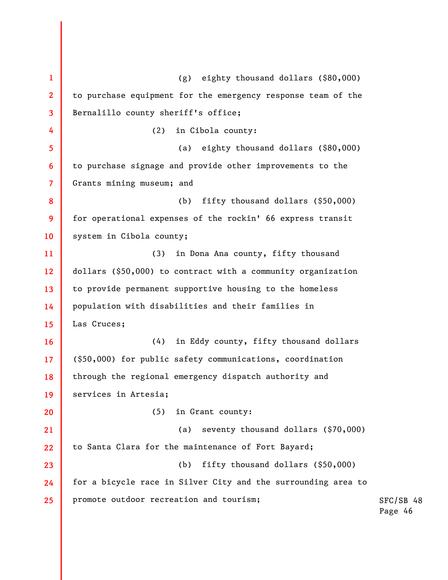SFC/SB 48 Page 46 **1 2 3 4 5 6 7 8 9 10 11 12 13 14 15 16 17 18 19 20 21 22 23 24 25**  (g) eighty thousand dollars (\$80,000) to purchase equipment for the emergency response team of the Bernalillo county sheriff's office; (2) in Cibola county: (a) eighty thousand dollars (\$80,000) to purchase signage and provide other improvements to the Grants mining museum; and (b) fifty thousand dollars (\$50,000) for operational expenses of the rockin' 66 express transit system in Cibola county; (3) in Dona Ana county, fifty thousand dollars (\$50,000) to contract with a community organization to provide permanent supportive housing to the homeless population with disabilities and their families in Las Cruces; (4) in Eddy county, fifty thousand dollars (\$50,000) for public safety communications, coordination through the regional emergency dispatch authority and services in Artesia; (5) in Grant county: (a) seventy thousand dollars (\$70,000) to Santa Clara for the maintenance of Fort Bayard; (b) fifty thousand dollars (\$50,000) for a bicycle race in Silver City and the surrounding area to promote outdoor recreation and tourism;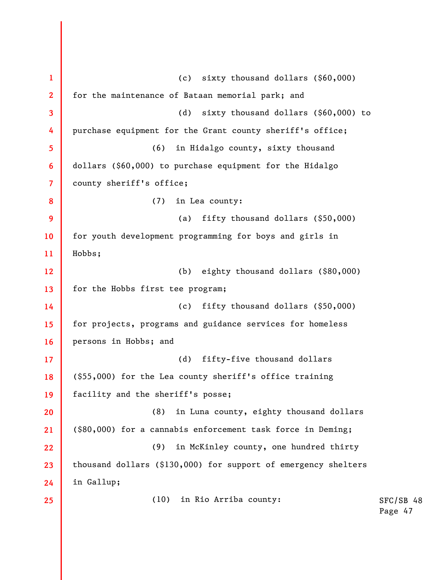**1 2 3 4 5 6 7 8 9 10 11 12 13 14 15 16 17 18 19 20 21 22 23 24 25**  (c) sixty thousand dollars (\$60,000) for the maintenance of Bataan memorial park; and (d) sixty thousand dollars (\$60,000) to purchase equipment for the Grant county sheriff's office; (6) in Hidalgo county, sixty thousand dollars (\$60,000) to purchase equipment for the Hidalgo county sheriff's office; (7) in Lea county: (a) fifty thousand dollars (\$50,000) for youth development programming for boys and girls in Hobbs; (b) eighty thousand dollars (\$80,000) for the Hobbs first tee program; (c) fifty thousand dollars (\$50,000) for projects, programs and guidance services for homeless persons in Hobbs; and (d) fifty-five thousand dollars (\$55,000) for the Lea county sheriff's office training facility and the sheriff's posse; (8) in Luna county, eighty thousand dollars (\$80,000) for a cannabis enforcement task force in Deming; (9) in McKinley county, one hundred thirty thousand dollars (\$130,000) for support of emergency shelters in Gallup; (10) in Rio Arriba county: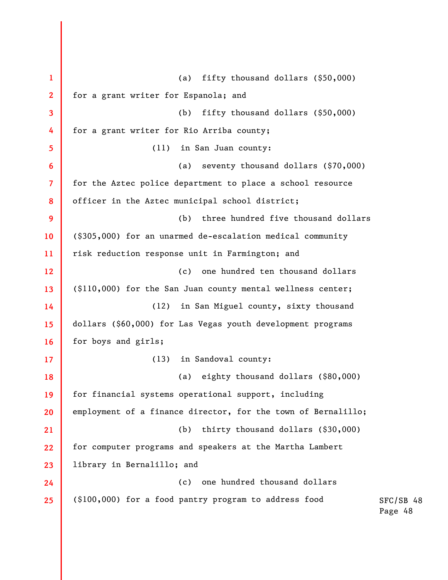SFC/SB 48 Page 48 **1 2 3 4 5 6 7 8 9 10 11 12 13 14 15 16 17 18 19 20 21 22 23 24 25**  (a) fifty thousand dollars (\$50,000) for a grant writer for Espanola; and (b) fifty thousand dollars (\$50,000) for a grant writer for Rio Arriba county; (11) in San Juan county: (a) seventy thousand dollars (\$70,000) for the Aztec police department to place a school resource officer in the Aztec municipal school district; (b) three hundred five thousand dollars (\$305,000) for an unarmed de-escalation medical community risk reduction response unit in Farmington; and (c) one hundred ten thousand dollars (\$110,000) for the San Juan county mental wellness center; (12) in San Miguel county, sixty thousand dollars (\$60,000) for Las Vegas youth development programs for boys and girls; (13) in Sandoval county: (a) eighty thousand dollars (\$80,000) for financial systems operational support, including employment of a finance director, for the town of Bernalillo; (b) thirty thousand dollars (\$30,000) for computer programs and speakers at the Martha Lambert library in Bernalillo; and (c) one hundred thousand dollars (\$100,000) for a food pantry program to address food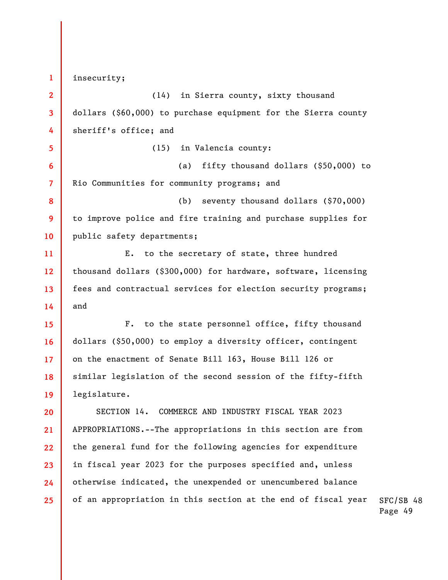**1 2 3 4 5 6 7 8 9 10 11 12 13 14 15 16 17 18 19 20 21 22 23 24 25**  insecurity; (14) in Sierra county, sixty thousand dollars (\$60,000) to purchase equipment for the Sierra county sheriff's office; and (15) in Valencia county: (a) fifty thousand dollars (\$50,000) to Rio Communities for community programs; and (b) seventy thousand dollars (\$70,000) to improve police and fire training and purchase supplies for public safety departments; E. to the secretary of state, three hundred thousand dollars (\$300,000) for hardware, software, licensing fees and contractual services for election security programs; and F. to the state personnel office, fifty thousand dollars (\$50,000) to employ a diversity officer, contingent on the enactment of Senate Bill 163, House Bill 126 or similar legislation of the second session of the fifty-fifth legislature. SECTION 14. COMMERCE AND INDUSTRY FISCAL YEAR 2023 APPROPRIATIONS.--The appropriations in this section are from the general fund for the following agencies for expenditure in fiscal year 2023 for the purposes specified and, unless otherwise indicated, the unexpended or unencumbered balance of an appropriation in this section at the end of fiscal year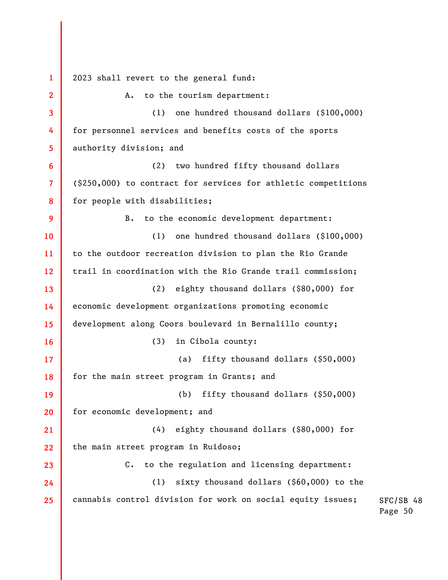**1 2 3 4 5 6 7 8 9 10 11 12 13 14 15 16 17 18 19 20 21 22 23 24 25**  2023 shall revert to the general fund: A. to the tourism department: (1) one hundred thousand dollars (\$100,000) for personnel services and benefits costs of the sports authority division; and (2) two hundred fifty thousand dollars (\$250,000) to contract for services for athletic competitions for people with disabilities; B. to the economic development department: (1) one hundred thousand dollars (\$100,000) to the outdoor recreation division to plan the Rio Grande trail in coordination with the Rio Grande trail commission; (2) eighty thousand dollars (\$80,000) for economic development organizations promoting economic development along Coors boulevard in Bernalillo county; (3) in Cibola county: (a) fifty thousand dollars (\$50,000) for the main street program in Grants; and (b) fifty thousand dollars (\$50,000) for economic development; and (4) eighty thousand dollars (\$80,000) for the main street program in Ruidoso; C. to the regulation and licensing department: (1) sixty thousand dollars (\$60,000) to the cannabis control division for work on social equity issues;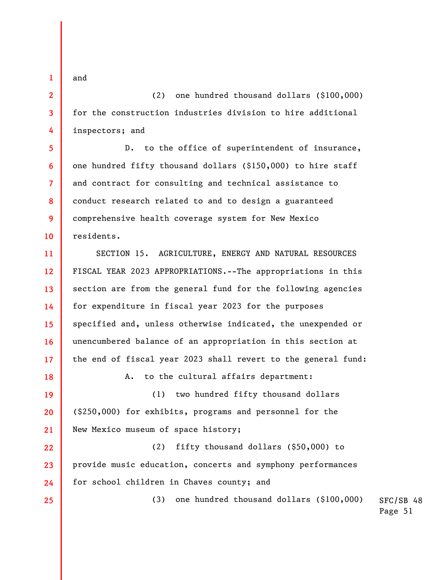and

**1** 

**2** 

**3** 

**4** 

**5** 

**7** 

**9** 

**10** 

**18** 

**25** 

(2) one hundred thousand dollars (\$100,000) for the construction industries division to hire additional inspectors; and

**6 8**  D. to the office of superintendent of insurance, one hundred fifty thousand dollars (\$150,000) to hire staff and contract for consulting and technical assistance to conduct research related to and to design a guaranteed comprehensive health coverage system for New Mexico residents.

**11 12 13 14 15 16 17**  SECTION 15. AGRICULTURE, ENERGY AND NATURAL RESOURCES FISCAL YEAR 2023 APPROPRIATIONS.--The appropriations in this section are from the general fund for the following agencies for expenditure in fiscal year 2023 for the purposes specified and, unless otherwise indicated, the unexpended or unencumbered balance of an appropriation in this section at the end of fiscal year 2023 shall revert to the general fund:

A. to the cultural affairs department:

**19 20 21**  (1) two hundred fifty thousand dollars (\$250,000) for exhibits, programs and personnel for the New Mexico museum of space history;

**22 23 24**  (2) fifty thousand dollars (\$50,000) to provide music education, concerts and symphony performances for school children in Chaves county; and

(3) one hundred thousand dollars (\$100,000)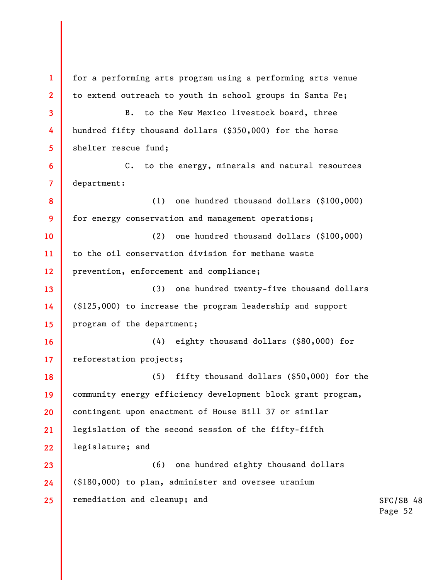**1 2 3 4 5 6 7 8 9 10 11 12 13 14 15 16 17 18 19 20 21 22 23 24 25**  for a performing arts program using a performing arts venue to extend outreach to youth in school groups in Santa Fe; B. to the New Mexico livestock board, three hundred fifty thousand dollars (\$350,000) for the horse shelter rescue fund; C. to the energy, minerals and natural resources department: (1) one hundred thousand dollars (\$100,000) for energy conservation and management operations; (2) one hundred thousand dollars (\$100,000) to the oil conservation division for methane waste prevention, enforcement and compliance; (3) one hundred twenty-five thousand dollars (\$125,000) to increase the program leadership and support program of the department; (4) eighty thousand dollars (\$80,000) for reforestation projects; (5) fifty thousand dollars (\$50,000) for the community energy efficiency development block grant program, contingent upon enactment of House Bill 37 or similar legislation of the second session of the fifty-fifth legislature; and (6) one hundred eighty thousand dollars (\$180,000) to plan, administer and oversee uranium remediation and cleanup; and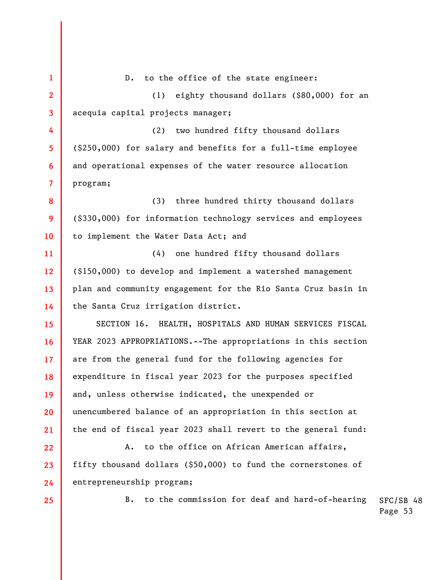SFC/SB 48 Page 53 **1 2 3 4 5 6 7 8 9 10 11 12 13 14 15 16 17 18 19 20 21 22 23 24 25**  D. to the office of the state engineer: (1) eighty thousand dollars (\$80,000) for an acequia capital projects manager; (2) two hundred fifty thousand dollars (\$250,000) for salary and benefits for a full-time employee and operational expenses of the water resource allocation program; (3) three hundred thirty thousand dollars (\$330,000) for information technology services and employees to implement the Water Data Act; and (4) one hundred fifty thousand dollars (\$150,000) to develop and implement a watershed management plan and community engagement for the Rio Santa Cruz basin in the Santa Cruz irrigation district. SECTION 16. HEALTH, HOSPITALS AND HUMAN SERVICES FISCAL YEAR 2023 APPROPRIATIONS.--The appropriations in this section are from the general fund for the following agencies for expenditure in fiscal year 2023 for the purposes specified and, unless otherwise indicated, the unexpended or unencumbered balance of an appropriation in this section at the end of fiscal year 2023 shall revert to the general fund: A. to the office on African American affairs, fifty thousand dollars (\$50,000) to fund the cornerstones of entrepreneurship program; B. to the commission for deaf and hard-of-hearing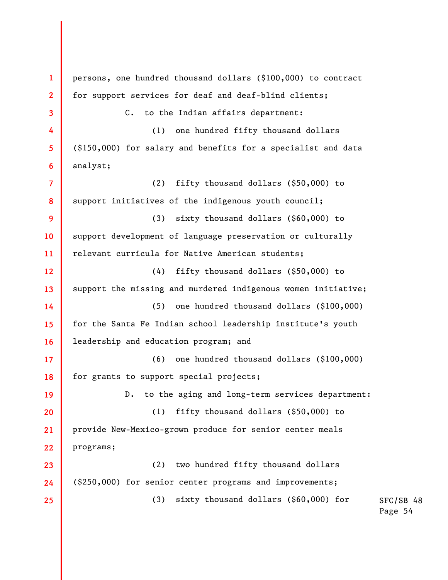| $\mathbf{1}$    | persons, one hundred thousand dollars (\$100,000) to contract |                      |
|-----------------|---------------------------------------------------------------|----------------------|
| $\overline{2}$  | for support services for deaf and deaf-blind clients;         |                      |
| 3               | to the Indian affairs department:<br>$c_{\bullet}$            |                      |
| 4               | one hundred fifty thousand dollars<br>(1)                     |                      |
| 5               | (\$150,000) for salary and benefits for a specialist and data |                      |
| 6               | analyst;                                                      |                      |
| $\overline{7}$  | fifty thousand dollars (\$50,000) to<br>(2)                   |                      |
| 8               | support initiatives of the indigenous youth council;          |                      |
| 9               | sixty thousand dollars (\$60,000) to<br>(3)                   |                      |
| 10              | support development of language preservation or culturally    |                      |
| 11              | relevant curricula for Native American students;              |                      |
| 12 <sup>2</sup> | fifty thousand dollars (\$50,000) to<br>(4)                   |                      |
| 13              | support the missing and murdered indigenous women initiative; |                      |
| 14              | one hundred thousand dollars (\$100,000)<br>(5)               |                      |
| 15              | for the Santa Fe Indian school leadership institute's youth   |                      |
| 16              | leadership and education program; and                         |                      |
| 17 <sup>2</sup> | one hundred thousand dollars (\$100,000)<br>(6)               |                      |
| 18              | for grants to support special projects;                       |                      |
| 19              | D. to the aging and long-term services department:            |                      |
| 20              | fifty thousand dollars (\$50,000) to<br>(1)                   |                      |
| 21              | provide New-Mexico-grown produce for senior center meals      |                      |
| 22              | programs;                                                     |                      |
| 23              | (2) two hundred fifty thousand dollars                        |                      |
| 24              | (\$250,000) for senior center programs and improvements;      |                      |
| 25              | sixty thousand dollars (\$60,000) for<br>(3)                  | SFC/SB 48<br>Page 54 |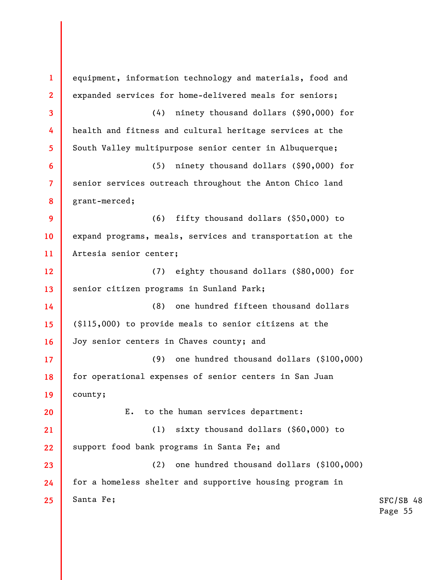**1 2 3 4 5 6 7 8 9 10 11 12 13 14 15 16 17 18 19 20 21 22 23 24 25**  equipment, information technology and materials, food and expanded services for home-delivered meals for seniors; (4) ninety thousand dollars (\$90,000) for health and fitness and cultural heritage services at the South Valley multipurpose senior center in Albuquerque; (5) ninety thousand dollars (\$90,000) for senior services outreach throughout the Anton Chico land grant-merced; (6) fifty thousand dollars (\$50,000) to expand programs, meals, services and transportation at the Artesia senior center; (7) eighty thousand dollars (\$80,000) for senior citizen programs in Sunland Park; (8) one hundred fifteen thousand dollars (\$115,000) to provide meals to senior citizens at the Joy senior centers in Chaves county; and (9) one hundred thousand dollars (\$100,000) for operational expenses of senior centers in San Juan county; E. to the human services department: (1) sixty thousand dollars (\$60,000) to support food bank programs in Santa Fe; and (2) one hundred thousand dollars (\$100,000) for a homeless shelter and supportive housing program in Santa Fe;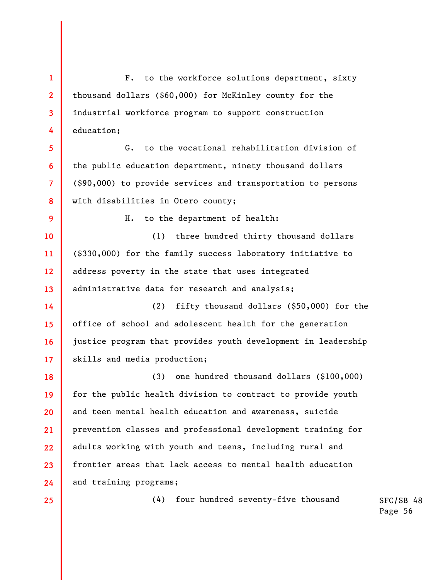**1 2 3 4**  F. to the workforce solutions department, sixty thousand dollars (\$60,000) for McKinley county for the industrial workforce program to support construction education;

**5 6 7 8**  G. to the vocational rehabilitation division of the public education department, ninety thousand dollars (\$90,000) to provide services and transportation to persons with disabilities in Otero county;

**9** 

H. to the department of health:

**10 11 12 13**  (1) three hundred thirty thousand dollars (\$330,000) for the family success laboratory initiative to address poverty in the state that uses integrated administrative data for research and analysis;

**14 15 16 17**  (2) fifty thousand dollars (\$50,000) for the office of school and adolescent health for the generation justice program that provides youth development in leadership skills and media production;

**18 19 20 21 22 23 24**  (3) one hundred thousand dollars (\$100,000) for the public health division to contract to provide youth and teen mental health education and awareness, suicide prevention classes and professional development training for adults working with youth and teens, including rural and frontier areas that lack access to mental health education and training programs;

**25** 

(4) four hundred seventy-five thousand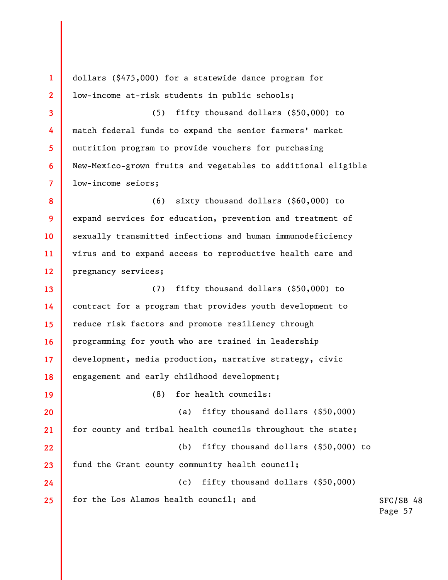**1 2 3 4 5 6 7 8 9 10 11 12 13 14 15 16 17 18 19 20 21 22 23 24 25**  dollars (\$475,000) for a statewide dance program for low-income at-risk students in public schools; (5) fifty thousand dollars (\$50,000) to match federal funds to expand the senior farmers' market nutrition program to provide vouchers for purchasing New-Mexico-grown fruits and vegetables to additional eligible low-income seiors; (6) sixty thousand dollars (\$60,000) to expand services for education, prevention and treatment of sexually transmitted infections and human immunodeficiency virus and to expand access to reproductive health care and pregnancy services; (7) fifty thousand dollars (\$50,000) to contract for a program that provides youth development to reduce risk factors and promote resiliency through programming for youth who are trained in leadership development, media production, narrative strategy, civic engagement and early childhood development; (8) for health councils: (a) fifty thousand dollars (\$50,000) for county and tribal health councils throughout the state; (b) fifty thousand dollars (\$50,000) to fund the Grant county community health council; (c) fifty thousand dollars (\$50,000) for the Los Alamos health council; and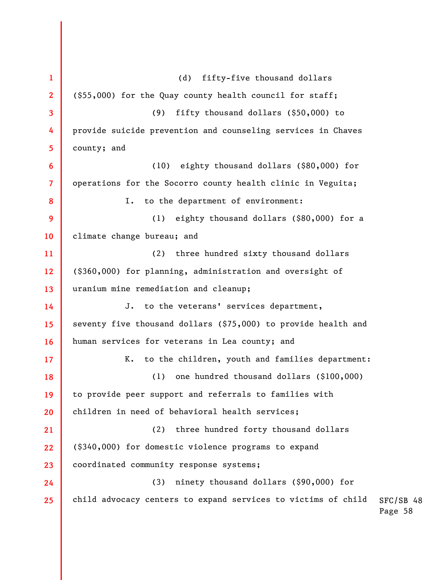SFC/SB 48 Page 58 **1 2 3 4 5 6 7 8 9 10 11 12 13 14 15 16 17 18 19 20 21 22 23 24 25**  (d) fifty-five thousand dollars (\$55,000) for the Quay county health council for staff; (9) fifty thousand dollars (\$50,000) to provide suicide prevention and counseling services in Chaves county; and (10) eighty thousand dollars (\$80,000) for operations for the Socorro county health clinic in Veguita; I. to the department of environment: (1) eighty thousand dollars (\$80,000) for a climate change bureau; and (2) three hundred sixty thousand dollars (\$360,000) for planning, administration and oversight of uranium mine remediation and cleanup; J. to the veterans' services department, seventy five thousand dollars (\$75,000) to provide health and human services for veterans in Lea county; and K. to the children, youth and families department: (1) one hundred thousand dollars (\$100,000) to provide peer support and referrals to families with children in need of behavioral health services; (2) three hundred forty thousand dollars (\$340,000) for domestic violence programs to expand coordinated community response systems; (3) ninety thousand dollars (\$90,000) for child advocacy centers to expand services to victims of child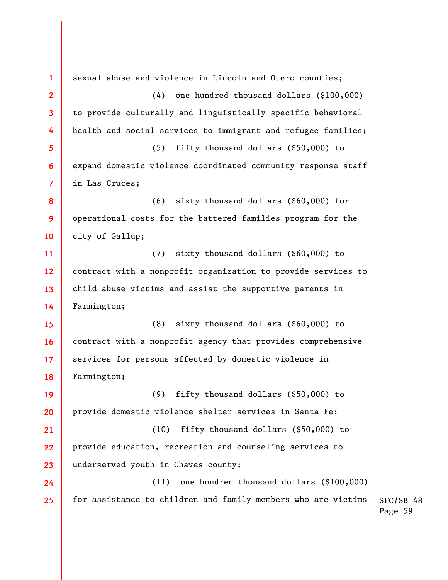SFC/SB 48 Page 59 **1 2 3 4 5 6 7 8 9 10 11 12 13 14 15 16 17 18 19 20 21 22 23 24 25**  sexual abuse and violence in Lincoln and Otero counties; (4) one hundred thousand dollars (\$100,000) to provide culturally and linguistically specific behavioral health and social services to immigrant and refugee families; (5) fifty thousand dollars (\$50,000) to expand domestic violence coordinated community response staff in Las Cruces; (6) sixty thousand dollars (\$60,000) for operational costs for the battered families program for the city of Gallup; (7) sixty thousand dollars (\$60,000) to contract with a nonprofit organization to provide services to child abuse victims and assist the supportive parents in Farmington; (8) sixty thousand dollars (\$60,000) to contract with a nonprofit agency that provides comprehensive services for persons affected by domestic violence in Farmington; (9) fifty thousand dollars (\$50,000) to provide domestic violence shelter services in Santa Fe; (10) fifty thousand dollars (\$50,000) to provide education, recreation and counseling services to underserved youth in Chaves county; (11) one hundred thousand dollars (\$100,000) for assistance to children and family members who are victims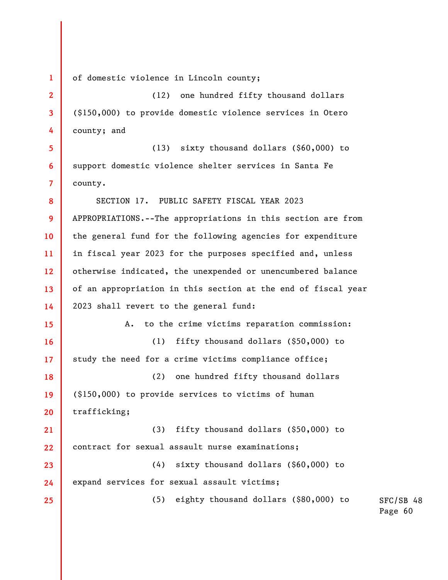of domestic violence in Lincoln county;

**1** 

**2** 

**3** 

**4** 

**15** 

**16** 

**17** 

**25** 

(12) one hundred fifty thousand dollars (\$150,000) to provide domestic violence services in Otero county; and

**5 6 7**  (13) sixty thousand dollars (\$60,000) to support domestic violence shelter services in Santa Fe county.

**8 9 10 11 12 13 14**  SECTION 17. PUBLIC SAFETY FISCAL YEAR 2023 APPROPRIATIONS.--The appropriations in this section are from the general fund for the following agencies for expenditure in fiscal year 2023 for the purposes specified and, unless otherwise indicated, the unexpended or unencumbered balance of an appropriation in this section at the end of fiscal year 2023 shall revert to the general fund:

A. to the crime victims reparation commission: (1) fifty thousand dollars (\$50,000) to study the need for a crime victims compliance office;

**18 19 20**  (2) one hundred fifty thousand dollars (\$150,000) to provide services to victims of human trafficking;

**21 22**  (3) fifty thousand dollars (\$50,000) to contract for sexual assault nurse examinations;

**23 24**  (4) sixty thousand dollars (\$60,000) to expand services for sexual assault victims;

(5) eighty thousand dollars (\$80,000) to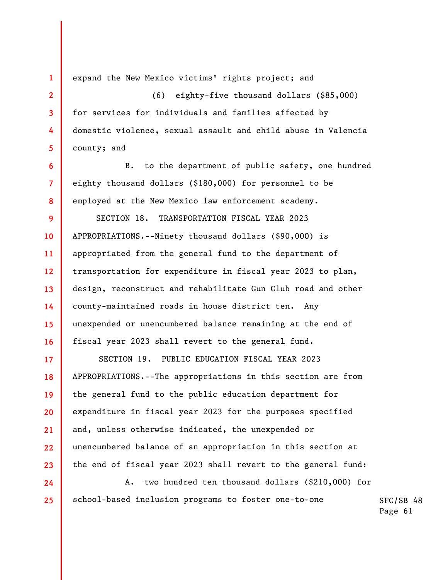**1 2 3 4 5 6 7 8 9 10 11 12 13 14 15 16**  expand the New Mexico victims' rights project; and (6) eighty-five thousand dollars (\$85,000) for services for individuals and families affected by domestic violence, sexual assault and child abuse in Valencia county; and B. to the department of public safety, one hundred eighty thousand dollars (\$180,000) for personnel to be employed at the New Mexico law enforcement academy. SECTION 18. TRANSPORTATION FISCAL YEAR 2023 APPROPRIATIONS.--Ninety thousand dollars (\$90,000) is appropriated from the general fund to the department of transportation for expenditure in fiscal year 2023 to plan, design, reconstruct and rehabilitate Gun Club road and other county-maintained roads in house district ten. Any unexpended or unencumbered balance remaining at the end of fiscal year 2023 shall revert to the general fund.

**22**  SECTION 19. PUBLIC EDUCATION FISCAL YEAR 2023 APPROPRIATIONS.--The appropriations in this section are from the general fund to the public education department for expenditure in fiscal year 2023 for the purposes specified and, unless otherwise indicated, the unexpended or unencumbered balance of an appropriation in this section at the end of fiscal year 2023 shall revert to the general fund:

**17** 

**18** 

**19** 

**20** 

**21** 

**23** 

**24** 

**25** 

A. two hundred ten thousand dollars (\$210,000) for school-based inclusion programs to foster one-to-one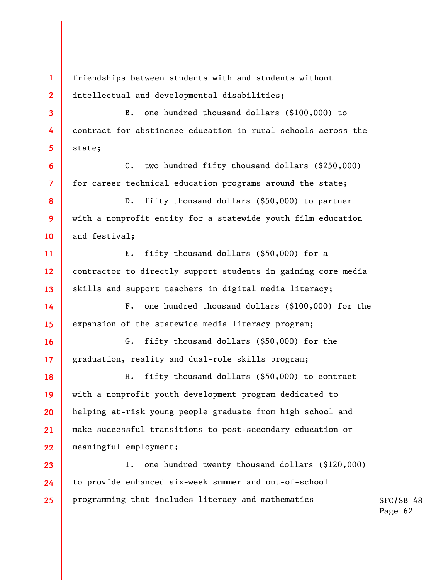**1 2**  friendships between students with and students without intellectual and developmental disabilities;

**6** 

**7** 

**9** 

**16** 

**17** 

**18** 

**19** 

**20** 

**21** 

**22** 

**3 4 5**  B. one hundred thousand dollars (\$100,000) to contract for abstinence education in rural schools across the state;

C. two hundred fifty thousand dollars (\$250,000) for career technical education programs around the state;

**8 10**  D. fifty thousand dollars (\$50,000) to partner with a nonprofit entity for a statewide youth film education and festival;

**11 12 13**  E. fifty thousand dollars (\$50,000) for a contractor to directly support students in gaining core media skills and support teachers in digital media literacy;

**14 15**  F. one hundred thousand dollars (\$100,000) for the expansion of the statewide media literacy program;

G. fifty thousand dollars (\$50,000) for the graduation, reality and dual-role skills program;

H. fifty thousand dollars (\$50,000) to contract with a nonprofit youth development program dedicated to helping at-risk young people graduate from high school and make successful transitions to post-secondary education or meaningful employment;

**23 24 25**  I. one hundred twenty thousand dollars (\$120,000) to provide enhanced six-week summer and out-of-school programming that includes literacy and mathematics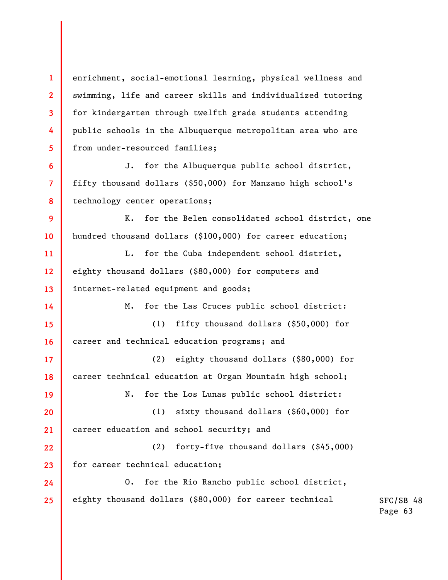**1 2 3 4 5 6 7 8 9 10 11 12 13 14 15 16 17 18 19 20 21 22 23 24 25**  enrichment, social-emotional learning, physical wellness and swimming, life and career skills and individualized tutoring for kindergarten through twelfth grade students attending public schools in the Albuquerque metropolitan area who are from under-resourced families; J. for the Albuquerque public school district, fifty thousand dollars (\$50,000) for Manzano high school's technology center operations; K. for the Belen consolidated school district, one hundred thousand dollars (\$100,000) for career education; L. for the Cuba independent school district, eighty thousand dollars (\$80,000) for computers and internet-related equipment and goods; M. for the Las Cruces public school district: (1) fifty thousand dollars (\$50,000) for career and technical education programs; and (2) eighty thousand dollars (\$80,000) for career technical education at Organ Mountain high school; N. for the Los Lunas public school district: (1) sixty thousand dollars (\$60,000) for career education and school security; and (2) forty-five thousand dollars (\$45,000) for career technical education; O. for the Rio Rancho public school district, eighty thousand dollars (\$80,000) for career technical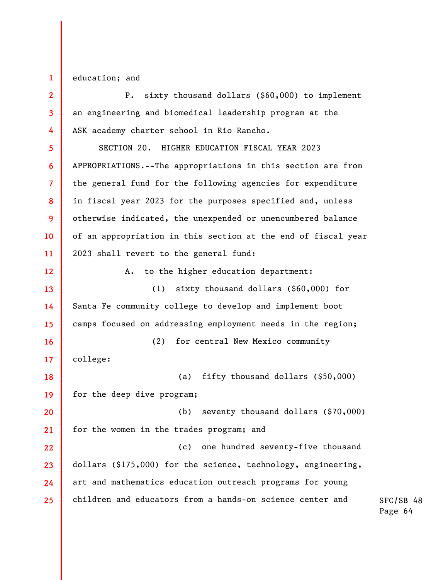**1**  education; and

**2 3 4 5 6 7 8 9 10 11 12 13 14 15 16 17 18 19 20 21 22 23 24 25**  P. sixty thousand dollars (\$60,000) to implement an engineering and biomedical leadership program at the ASK academy charter school in Rio Rancho. SECTION 20. HIGHER EDUCATION FISCAL YEAR 2023 APPROPRIATIONS.--The appropriations in this section are from the general fund for the following agencies for expenditure in fiscal year 2023 for the purposes specified and, unless otherwise indicated, the unexpended or unencumbered balance of an appropriation in this section at the end of fiscal year 2023 shall revert to the general fund: A. to the higher education department: (1) sixty thousand dollars (\$60,000) for Santa Fe community college to develop and implement boot camps focused on addressing employment needs in the region; (2) for central New Mexico community college: (a) fifty thousand dollars (\$50,000) for the deep dive program; (b) seventy thousand dollars (\$70,000) for the women in the trades program; and (c) one hundred seventy-five thousand dollars (\$175,000) for the science, technology, engineering, art and mathematics education outreach programs for young children and educators from a hands-on science center and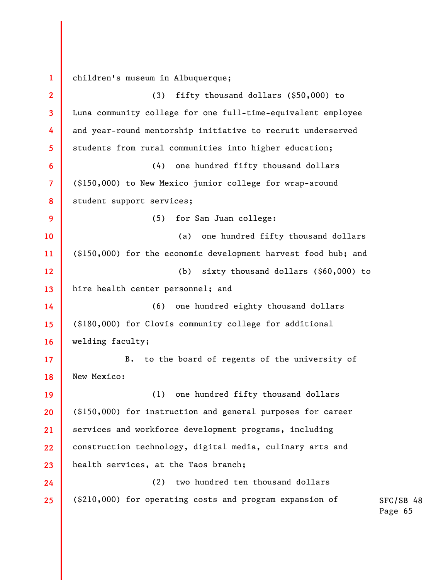**1 2 3 4 5 6 7 8 9 10 11 12 13 14 15 16 17 18 19 20 21 22 23 24 25**  children's museum in Albuquerque; (3) fifty thousand dollars (\$50,000) to Luna community college for one full-time-equivalent employee and year-round mentorship initiative to recruit underserved students from rural communities into higher education; (4) one hundred fifty thousand dollars (\$150,000) to New Mexico junior college for wrap-around student support services; (5) for San Juan college: (a) one hundred fifty thousand dollars (\$150,000) for the economic development harvest food hub; and (b) sixty thousand dollars (\$60,000) to hire health center personnel; and (6) one hundred eighty thousand dollars (\$180,000) for Clovis community college for additional welding faculty; B. to the board of regents of the university of New Mexico: (1) one hundred fifty thousand dollars (\$150,000) for instruction and general purposes for career services and workforce development programs, including construction technology, digital media, culinary arts and health services, at the Taos branch; (2) two hundred ten thousand dollars (\$210,000) for operating costs and program expansion of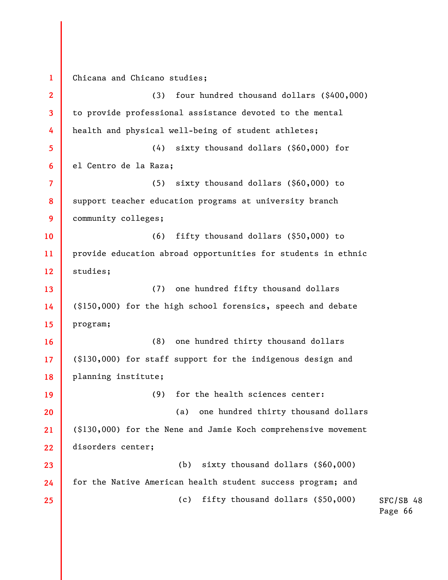**1 2 3 4 5 6 7 8 9 10 11 12 13 14 15 16 17 18 19 20 21 22 23 24 25**  Chicana and Chicano studies; (3) four hundred thousand dollars (\$400,000) to provide professional assistance devoted to the mental health and physical well-being of student athletes; (4) sixty thousand dollars (\$60,000) for el Centro de la Raza; (5) sixty thousand dollars (\$60,000) to support teacher education programs at university branch community colleges; (6) fifty thousand dollars (\$50,000) to provide education abroad opportunities for students in ethnic studies; (7) one hundred fifty thousand dollars (\$150,000) for the high school forensics, speech and debate program; (8) one hundred thirty thousand dollars (\$130,000) for staff support for the indigenous design and planning institute; (9) for the health sciences center: (a) one hundred thirty thousand dollars (\$130,000) for the Nene and Jamie Koch comprehensive movement disorders center; (b) sixty thousand dollars (\$60,000) for the Native American health student success program; and (c) fifty thousand dollars (\$50,000)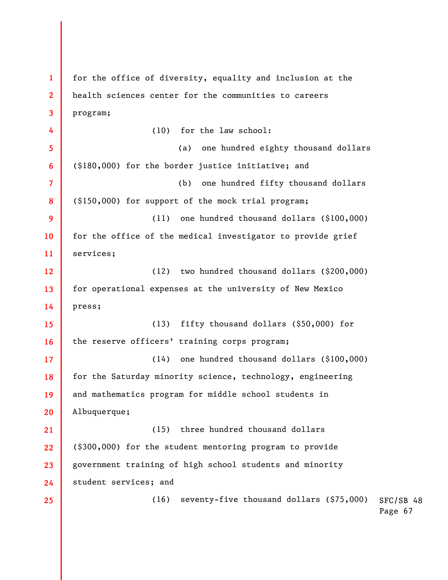SFC/SB 48 Page 67 **1 2 3 4 5 6 7 8 9 10 11 12 13 14 15 16 17 18 19 20 21 22 23 24 25**  for the office of diversity, equality and inclusion at the health sciences center for the communities to careers program; (10) for the law school: (a) one hundred eighty thousand dollars (\$180,000) for the border justice initiative; and (b) one hundred fifty thousand dollars (\$150,000) for support of the mock trial program; (11) one hundred thousand dollars (\$100,000) for the office of the medical investigator to provide grief services; (12) two hundred thousand dollars (\$200,000) for operational expenses at the university of New Mexico press; (13) fifty thousand dollars (\$50,000) for the reserve officers' training corps program; (14) one hundred thousand dollars (\$100,000) for the Saturday minority science, technology, engineering and mathematics program for middle school students in Albuquerque; (15) three hundred thousand dollars (\$300,000) for the student mentoring program to provide government training of high school students and minority student services; and (16) seventy-five thousand dollars (\$75,000)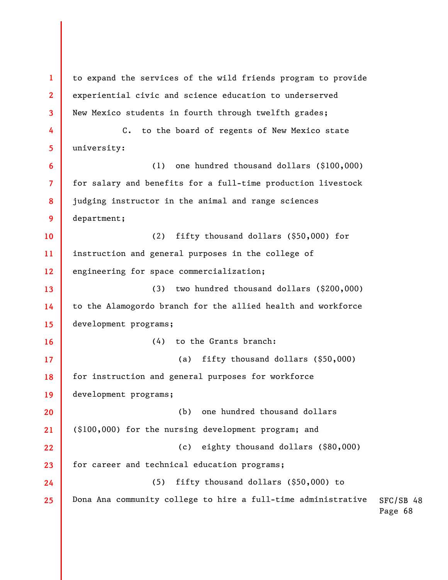SFC/SB 48 Page 68 **1 2 3 4 5 6 7 8 9 10 11 12 13 14 15 16 17 18 19 20 21 22 23 24 25**  to expand the services of the wild friends program to provide experiential civic and science education to underserved New Mexico students in fourth through twelfth grades; C. to the board of regents of New Mexico state university: (1) one hundred thousand dollars (\$100,000) for salary and benefits for a full-time production livestock judging instructor in the animal and range sciences department; (2) fifty thousand dollars (\$50,000) for instruction and general purposes in the college of engineering for space commercialization; (3) two hundred thousand dollars (\$200,000) to the Alamogordo branch for the allied health and workforce development programs; (4) to the Grants branch: (a) fifty thousand dollars (\$50,000) for instruction and general purposes for workforce development programs; (b) one hundred thousand dollars (\$100,000) for the nursing development program; and (c) eighty thousand dollars (\$80,000) for career and technical education programs; (5) fifty thousand dollars (\$50,000) to Dona Ana community college to hire a full-time administrative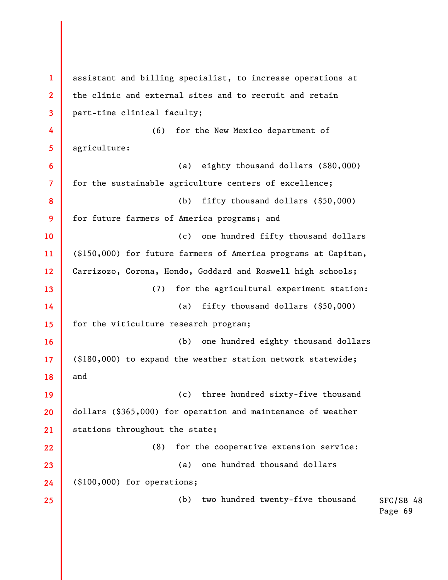```
SFC/SB 48
                                                                         Page 69
 1 
 2 
 3 
 4 
 5 
 6 
 7 
 8 
 9 
10 
11 
12 
13 
14 
15 
16 
17 
18 
19 
20 
21 
22 
23 
24 
25 
      assistant and billing specialist, to increase operations at
      the clinic and external sites and to recruit and retain 
      part-time clinical faculty; 
                       (6) for the New Mexico department of
      agriculture:
                             (a) eighty thousand dollars ($80,000)
      for the sustainable agriculture centers of excellence; 
                             (b) fifty thousand dollars ($50,000)
      for future farmers of America programs; and
                             (c) one hundred fifty thousand dollars
      ($150,000) for future farmers of America programs at Capitan,
      Carrizozo, Corona, Hondo, Goddard and Roswell high schools; 
                       (7) for the agricultural experiment station:
                             (a) fifty thousand dollars ($50,000)
      for the viticulture research program; 
                             (b) one hundred eighty thousand dollars
      ($180,000) to expand the weather station network statewide;
      and
                             (c) three hundred sixty-five thousand
      dollars ($365,000) for operation and maintenance of weather
      stations throughout the state; 
                       (8) for the cooperative extension service:
                             (a) one hundred thousand dollars
      ($100,000) for operations; 
                             (b) two hundred twenty-five thousand
```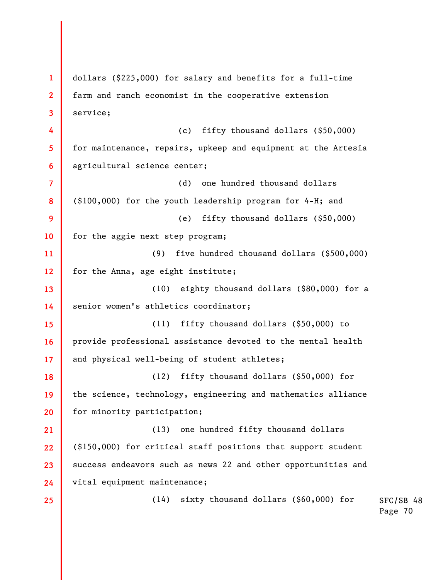| $\mathbf{1}$   | dollars (\$225,000) for salary and benefits for a full-time   |
|----------------|---------------------------------------------------------------|
| $\mathbf{2}$   | farm and ranch economist in the cooperative extension         |
| 3              | service;                                                      |
| 4              | fifty thousand dollars (\$50,000)<br>(c)                      |
| 5              | for maintenance, repairs, upkeep and equipment at the Artesia |
| 6              | agricultural science center;                                  |
| $\overline{7}$ | one hundred thousand dollars<br>(d)                           |
| 8              | (\$100,000) for the youth leadership program for 4-H; and     |
| 9              | fifty thousand dollars (\$50,000)<br>(e)                      |
| 10             | for the aggie next step program;                              |
| 11             | five hundred thousand dollars (\$500,000)<br>(9)              |
| 12             | for the Anna, age eight institute;                            |
| 13             | eighty thousand dollars (\$80,000) for a<br>(10)              |
| 14             | senior women's athletics coordinator;                         |
| 15             | fifty thousand dollars (\$50,000) to<br>(11)                  |
| 16             | provide professional assistance devoted to the mental health  |
| 17             | and physical well-being of student athletes;                  |
| 18             | fifty thousand dollars (\$50,000) for<br>(12)                 |
| 19             | the science, technology, engineering and mathematics alliance |
| 20             | for minority participation;                                   |
| 21             | (13) one hundred fifty thousand dollars                       |
| 22             | (\$150,000) for critical staff positions that support student |
| 23             | success endeavors such as news 22 and other opportunities and |
| 24             | vital equipment maintenance;                                  |
| 25             | sixty thousand dollars (\$60,000) for<br>(14)<br>SFC/SB 48    |

Page 70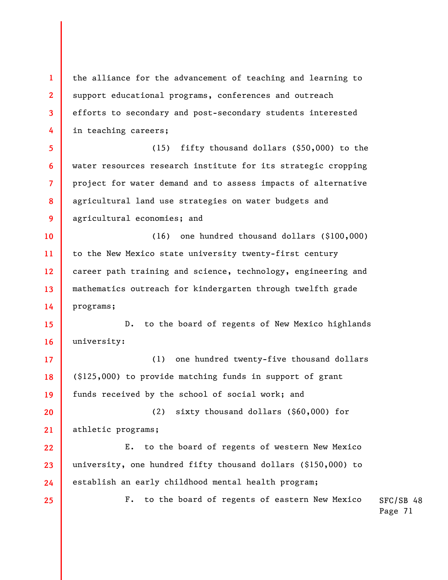**1 2 3 4 5 6 7 8 9 10 11 12 13 14 15 16 17 18 19 20 21 22 23 24 25**  the alliance for the advancement of teaching and learning to support educational programs, conferences and outreach efforts to secondary and post-secondary students interested in teaching careers; (15) fifty thousand dollars (\$50,000) to the water resources research institute for its strategic cropping project for water demand and to assess impacts of alternative agricultural land use strategies on water budgets and agricultural economies; and (16) one hundred thousand dollars (\$100,000) to the New Mexico state university twenty-first century career path training and science, technology, engineering and mathematics outreach for kindergarten through twelfth grade programs; D. to the board of regents of New Mexico highlands university: (1) one hundred twenty-five thousand dollars (\$125,000) to provide matching funds in support of grant funds received by the school of social work; and (2) sixty thousand dollars (\$60,000) for athletic programs; E. to the board of regents of western New Mexico university, one hundred fifty thousand dollars (\$150,000) to establish an early childhood mental health program; F. to the board of regents of eastern New Mexico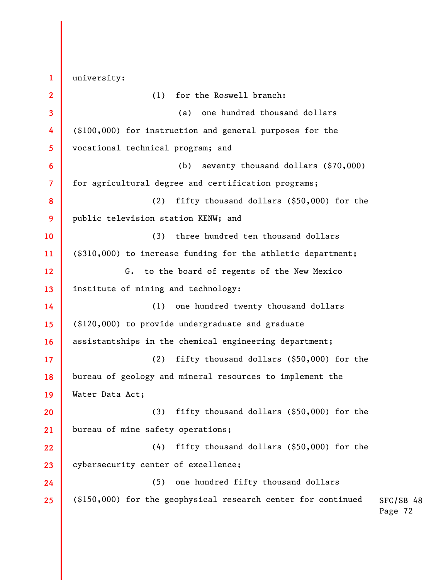SFC/SB 48 Page 72 **1 2 3 4 5 6 7 8 9 10 11 12 13 14 15 16 17 18 19 20 21 22 23 24 25**  university: (1) for the Roswell branch: (a) one hundred thousand dollars (\$100,000) for instruction and general purposes for the vocational technical program; and (b) seventy thousand dollars (\$70,000) for agricultural degree and certification programs; (2) fifty thousand dollars (\$50,000) for the public television station KENW; and (3) three hundred ten thousand dollars (\$310,000) to increase funding for the athletic department; G. to the board of regents of the New Mexico institute of mining and technology: (1) one hundred twenty thousand dollars (\$120,000) to provide undergraduate and graduate assistantships in the chemical engineering department; (2) fifty thousand dollars (\$50,000) for the bureau of geology and mineral resources to implement the Water Data Act; (3) fifty thousand dollars (\$50,000) for the bureau of mine safety operations; (4) fifty thousand dollars (\$50,000) for the cybersecurity center of excellence; (5) one hundred fifty thousand dollars (\$150,000) for the geophysical research center for continued